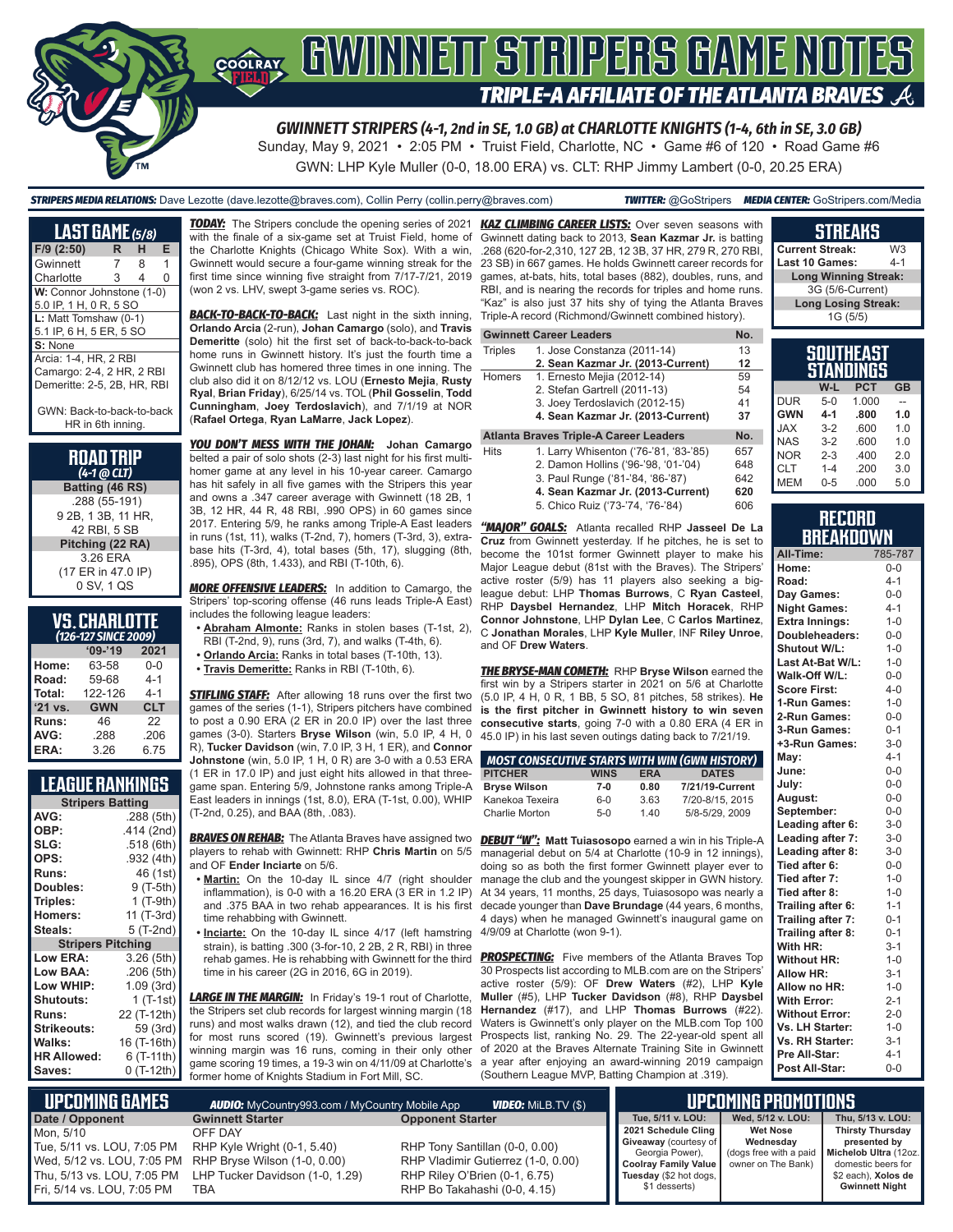

*GWINNETT STRIPERS (4-1, 2nd in SE, 1.0 GB) at CHARLOTTE KNIGHTS (1-4, 6th in SE, 3.0 GB)* Sunday, May 9, 2021 • 2:05 PM • Truist Field, Charlotte, NC • Game #6 of 120 • Road Game #6

GWN: LHP Kyle Muller (0-0, 18.00 ERA) vs. CLT: RHP Jimmy Lambert (0-0, 20.25 ERA)

*STRIPERS MEDIA RELATIONS:* Dave Lezotte (dave.lezotte@braves.com), Collin Perry (collin.perry@braves.com) *TWITTER:* @GoStripers *MEDIA CENTER:* GoStripers.com/Media

| <b>LAST GAME (5/8)</b>                        |   |   |   |
|-----------------------------------------------|---|---|---|
| $F/9$ (2:50)                                  | R | н | Е |
| Gwinnett                                      | 7 | 8 | 1 |
| Charlotte                                     | 3 | 4 | 0 |
| W: Connor Johnstone (1-0)                     |   |   |   |
| 5.0 IP, 1 H, 0 R, 5 SO                        |   |   |   |
| L: Matt Tomshaw (0-1)                         |   |   |   |
| 5.1 IP, 6 H, 5 ER, 5 SO                       |   |   |   |
| S: None                                       |   |   |   |
| Arcia: 1-4. HR. 2 RBI                         |   |   |   |
| Camargo: 2-4, 2 HR, 2 RBI                     |   |   |   |
| Demeritte: 2-5, 2B, HR, RBI                   |   |   |   |
| GWN: Back-to-back-to-back<br>HR in 6th inning |   |   |   |

**ROAD TRIP**  *(4-1 @ CLT)* **Batting (46 RS)**

.288 (55-191) 9 2B, 1 3B, 11 HR, 42 RBI, 5 SB **Pitching (22 RA)** 3.26 ERA (17 ER in 47.0 IP) 0 SV, 1 QS

| <b>VS. CHARLOTTE</b>   |  |  |
|------------------------|--|--|
| $1926$ 127 CINCT 2000) |  |  |

|         | (126-127 SINCE 2009) |            |
|---------|----------------------|------------|
|         | $09 - 19$            | 2021       |
| Home:   | 63-58                | $0 - 0$    |
| Road:   | 59-68                | $4 - 1$    |
| Total:  | 122-126              | $4 - 1$    |
| '21 vs. | <b>GWN</b>           | <b>CLT</b> |
| Runs:   | 46                   | 22         |
| AVG:    | .288                 | .206       |
| ERA:    | 3.26                 | 6.75       |

### **LEAGUE RANKINGS**

| <b>Stripers Batting</b>  |             |
|--------------------------|-------------|
| AVG:                     | .288 (5th)  |
| OBP:                     | .414 (2nd)  |
| SLG:                     | .518 (6th)  |
| OPS:                     | .932 (4th)  |
| <b>Runs:</b>             | 46 (1st)    |
| Doubles:                 | 9 (T-5th)   |
| Triples:                 | 1 (T-9th)   |
| <b>Homers:</b>           | 11 (T-3rd)  |
| Steals:                  | 5 (T-2nd)   |
| <b>Stripers Pitching</b> |             |
| <b>Low ERA:</b>          | 3.26 (5th)  |
| <b>Low BAA:</b>          | .206 (5th)  |
| Low WHIP:                | 1.09(3rd)   |
| Shutouts:                | 1 (T-1st)   |
| <b>Runs:</b>             | 22 (T-12th) |
| Strikeouts:              | 59 (3rd)    |
| Walks:                   | 16 (T-16th) |
| <b>HR Allowed:</b>       | 6 (T-11th)  |
| Saves:                   | 0 (T-12th)  |

*TODAY:* The Stripers conclude the opening series of 2021 with the finale of a six-game set at Truist Field, home of the Charlotte Knights (Chicago White Sox). With a win, Gwinnett would secure a four-game winning streak for the first time since winning five straight from 7/17-7/21, 2019 (won 2 vs. LHV, swept 3-game series vs. ROC).

**BACK-TO-BACK-TO-BACK:** Last night in the sixth inning, **Orlando Arcia** (2-run), **Johan Camargo** (solo), and **Travis Demeritte** (solo) hit the first set of back-to-back-to-back home runs in Gwinnett history. It's just the fourth time a Gwinnett club has homered three times in one inning. The club also did it on 8/12/12 vs. LOU (**Ernesto Mejia**, **Rusty Ryal**, **Brian Friday**), 6/25/14 vs. TOL (**Phil Gosselin**, **Todd Cunningham**, **Joey Terdoslavich**), and 7/1/19 at NOR (**Rafael Ortega**, **Ryan LaMarre**, **Jack Lopez**).

*YOU DON'T MESS WITH THE JOHAN:* **Johan Camargo** belted a pair of solo shots (2-3) last night for his first multihomer game at any level in his 10-year career. Camargo has hit safely in all five games with the Stripers this year and owns a .347 career average with Gwinnett (18 2B, 1 3B, 12 HR, 44 R, 48 RBI, .990 OPS) in 60 games since 2017. Entering 5/9, he ranks among Triple-A East leaders in runs (1st, 11), walks (T-2nd, 7), homers (T-3rd, 3), extrabase hits (T-3rd, 4), total bases (5th, 17), slugging (8th, .895), OPS (8th, 1.433), and RBI (T-10th, 6).

*MORE OFFENSIVE LEADERS:* In addition to Camargo, the Stripers' top-scoring offense (46 runs leads Triple-A East) includes the following league leaders:

**• Abraham Almonte:** Ranks in stolen bases (T-1st, 2), RBI (T-2nd, 9), runs (3rd, 7), and walks (T-4th, 6).

- **• Orlando Arcia:** Ranks in total bases (T-10th, 13).
- **• Travis Demeritte:** Ranks in RBI (T-10th, 6).

**STIFLING STAFF:** After allowing 18 runs over the first two games of the series (1-1), Stripers pitchers have combined to post a 0.90 ERA (2 ER in 20.0 IP) over the last three games (3-0). Starters **Bryse Wilson** (win, 5.0 IP, 4 H, 0 R), **Tucker Davidson** (win, 7.0 IP, 3 H, 1 ER), and **Connor Johnstone** (win, 5.0 IP, 1 H, 0 R) are 3-0 with a 0.53 ERA

(1 ER in 17.0 IP) and just eight hits allowed in that threegame span. Entering 5/9, Johnstone ranks among Triple-A East leaders in innings (1st, 8.0), ERA (T-1st, 0.00), WHIP (T-2nd, 0.25), and BAA (8th, .083).

and OF **Ender Inciarte** on 5/6.

- **• Martin:** On the 10-day IL since 4/7 (right shoulder inflammation), is 0-0 with a 16.20 ERA  $(3 \text{ ER in } 1.2 \text{ IP})$ and .375 BAA in two rehab appearances. It is his first time rehabbing with Gwinnett.
- **• Inciarte:** On the 10-day IL since 4/17 (left hamstring strain), is batting .300 (3-for-10, 2 2B, 2 R, RBI) in three rehab games. He is rehabbing with Gwinnett for the third time in his career (2G in 2016, 6G in 2019).

*LARGE IN THE MARGIN:* In Friday's 19-1 rout of Charlotte, the Stripers set club records for largest winning margin (18 runs) and most walks drawn (12), and tied the club record for most runs scored (19). Gwinnett's previous largest winning margin was 16 runs, coming in their only other game scoring 19 times, a 19-3 win on 4/11/09 at Charlotte's former home of Knights Stadium in Fort Mill, SC.

*KAZ CLIMBING CAREER LISTS:* Over seven seasons with Gwinnett dating back to 2013, **Sean Kazmar Jr.** is batting .268 (620-for-2,310, 127 2B, 12 3B, 37 HR, 279 R, 270 RB 23 SB) in 667 games. He holds Gwinnett career records fo games, at-bats, hits, total bases (882), doubles, runs, and RBI, and is nearing the records for triples and home runs. "Kaz" is also just 37 hits shy of tying the Atlanta Brave Triple-A record (Richmond/Gwinnett combined history).

#### **Gwinnett Career Leaders No.**

| Triples | 1. Jose Constanza (2011-14)            | 13  |
|---------|----------------------------------------|-----|
|         | 2. Sean Kazmar Jr. (2013-Current)      | 12  |
| Homers  | 1. Ernesto Mejia (2012-14)             | 59  |
|         | 2. Stefan Gartrell (2011-13)           | 54  |
|         | 3. Joey Terdoslavich (2012-15)         | 41  |
|         | 4. Sean Kazmar Jr. (2013-Current)      | 37  |
|         | Atlanta Braves Triple-A Career Leaders | No. |
|         |                                        |     |

| Hits | 1. Larry Whisenton ('76-'81, '83-'85) | 657 |
|------|---------------------------------------|-----|
|      | 2. Damon Hollins ('96-'98, '01-'04)   | 648 |
|      | 3. Paul Runge ('81-'84, '86-'87)      | 642 |
|      | 4. Sean Kazmar Jr. (2013-Current)     | 620 |
|      | 5. Chico Ruiz ('73-'74, '76-'84)      | 606 |
|      |                                       |     |

*"MAJOR" GOALS:* Atlanta recalled RHP **Jasseel De La Cruz** from Gwinnett yesterday. If he pitches, he is set to become the 101st former Gwinnett player to make his Major League debut (81st with the Braves). The Stripers' active roster (5/9) has 11 players also seeking a bigleague debut: LHP **Thomas Burrows**, C **Ryan Casteel**, RHP **Daysbel Hernandez**, LHP **Mitch Horacek**, RHP **Connor Johnstone**, LHP **Dylan Lee**, C **Carlos Martinez**, C **Jonathan Morales**, LHP **Kyle Muller**, INF **Riley Unroe**, and OF **Drew Waters**.

*THE BRYSE-MAN COMETH:* RHP **Bryse Wilson** earned the first win by a Stripers starter in 2021 on 5/6 at Charlotte (5.0 IP, 4 H, 0 R, 1 BB, 5 SO, 81 pitches, 58 strikes). **He is the first pitcher in Gwinnett history to win seven consecutive starts**, going 7-0 with a 0.80 ERA (4 ER in 45.0 IP) in his last seven outings dating back to 7/21/19.

| MOST CONSECUTIVE STARTS WITH WIN (GWN HISTORY) |             |            |                 |
|------------------------------------------------|-------------|------------|-----------------|
| <b>PITCHER</b>                                 | <b>WINS</b> | <b>ERA</b> | <b>DATES</b>    |
| <b>Bryse Wilson</b>                            | $7-0$       | 0.80       | 7/21/19-Current |
| Kanekoa Texeira                                | $6 - 0$     | 3.63       | 7/20-8/15, 2015 |
| Charlie Morton                                 | $5-0$       | 1.40       | 5/8-5/29, 2009  |

*BRAVES ON REHAB:* The Atlanta Braves have assigned two *DEBUT "W":* **Matt Tuiasosopo** earned a win in his Triple-A players to rehab with Gwinnett: RHP **Chris Martin** on 5/5 managerial debut on 5/4 at Charlotte (10-9 in 12 innings), doing so as both the first former Gwinnett player ever to manage the club and the youngest skipper in GWN history. At 34 years, 11 months, 25 days, Tuiasosopo was nearly a decade younger than **Dave Brundage** (44 years, 6 months, 4 days) when he managed Gwinnett's inaugural game on 4/9/09 at Charlotte (won 9-1).

> **PROSPECTING:** Five members of the Atlanta Braves Top 30 Prospects list according to MLB.com are on the Stripers' active roster (5/9): OF **Drew Waters** (#2), LHP **Kyle Muller** (#5), LHP **Tucker Davidson** (#8), RHP **Daysbel Hernandez** (#17), and LHP **Thomas Burrows** (#22). Waters is Gwinnett's only player on the MLB.com Top 100 Prospects list, ranking No. 29. The 22-year-old spent all of 2020 at the Braves Alternate Training Site in Gwinnett a year after enjoying an award-winning 2019 campaign (Southern League MVP, Batting Champion at .319).

| g  | елперне                     |                |
|----|-----------------------------|----------------|
| Ī. | <b>Current Streak:</b>      | W <sub>3</sub> |
| οr | Last 10 Games:              | $4 - 1$        |
| d  | <b>Long Winning Streak:</b> |                |
| Ŝ. | 3G (5/6-Current)            |                |
| iS | <b>Long Losing Streak:</b>  |                |
|    | 1G (5/5)                    |                |
|    |                             |                |
|    |                             |                |

**STREAKS**

| SOUTHEAST<br>STANDINGS |         |            |           |
|------------------------|---------|------------|-----------|
|                        | W-L     | <b>PCT</b> | <b>GB</b> |
| <b>DUR</b>             | $5-0$   | 1.000      |           |
| <b>GWN</b>             | $4 - 1$ | .800       | 1.0       |
| <b>XAL</b>             | $3-2$   | .600       | 1.0       |
| <b>NAS</b>             | $3-2$   | .600       | 1.0       |
| <b>NOR</b>             | $2 - 3$ | .400       | 2.0       |
| CLT                    | $1 - 4$ | .200       | 3.0       |
| MEM                    | $0 - 5$ | .000       | 5.0       |

#### **RECORD RRFAKNOWN**

| All-Time:             | 785-787 |
|-----------------------|---------|
| Home:                 | $0 - 0$ |
| Road:                 | $4 - 1$ |
| Day Games:            | $0 - 0$ |
| <b>Night Games:</b>   | $4 - 1$ |
| <b>Extra Innings:</b> | $1 - 0$ |
| Doubleheaders:        | $0 - 0$ |
| <b>Shutout W/L:</b>   | $1 - 0$ |
| Last At-Bat W/L:      | $1 - 0$ |
| Walk-Off W/L:         | $0-0$   |
| <b>Score First:</b>   | $4 - 0$ |
| 1-Run Games:          | $1 - 0$ |
| 2-Run Games:          | $0 - 0$ |
| 3-Run Games:          | $0 - 1$ |
| +3-Run Games:         | $3 - 0$ |
| May:                  | $4 - 1$ |
| June:                 | $0 - 0$ |
| July:                 | $0 - 0$ |
| August:               | $0 - 0$ |
| September:            | $0 - 0$ |
| Leading after 6:      | $3-0$   |
| Leading after 7:      | $3-0$   |
| Leading after 8:      | $3 - 0$ |
| Tied after 6:         | $0-0$   |
| Tied after 7:         | $1-0$   |
| Tied after 8:         | $1 - 0$ |
| Trailing after 6:     | $1 - 1$ |
| Trailing after 7:     | $0 - 1$ |
| Trailing after 8:     | $0 - 1$ |
| With HR:              | $3 - 1$ |
| <b>Without HR:</b>    | $1 - 0$ |
| <b>Allow HR:</b>      | $3 - 1$ |
| Allow no HR:          | $1 - 0$ |
| <b>With Error:</b>    | $2 - 1$ |
| <b>Without Error:</b> | $2 - 0$ |
| Vs. LH Starter:       | $1 - 0$ |
| Vs. RH Starter:       | $3 - 1$ |
| Pre All-Star:         | $4 - 1$ |
| Post All-Star:        | $0-0$   |

| <b>Gwinnett Starter</b><br><b>Opponent Starter</b><br><b>OFF DAY</b><br>RHP Tony Santillan (0-0, 0.00)<br>RHP Kyle Wright (0-1, 5.40)<br>Wed, 5/12 vs. LOU, 7:05 PM RHP Bryse Wilson (1-0, 0.00)<br>RHP Vladimir Gutierrez (1-0, 0.00)<br>LHP Tucker Davidson (1-0, 1.29)<br>RHP Riley O'Brien (0-1, 6.75)<br>RHP Bo Takahashi (0-0, 4.15)<br>TBA | L UPCOMING GAMES I         | <b>AUDIO:</b> MyCountry993.com / MyCountry Mobile App | <b>VIDEO:</b> Milb.TV (\$) |  |                   | UPCOMING PROMOTIONS                                                                   |
|---------------------------------------------------------------------------------------------------------------------------------------------------------------------------------------------------------------------------------------------------------------------------------------------------------------------------------------------------|----------------------------|-------------------------------------------------------|----------------------------|--|-------------------|---------------------------------------------------------------------------------------|
|                                                                                                                                                                                                                                                                                                                                                   | Date / Opponent            |                                                       |                            |  | Tue. 5/11 v. LOU: | Wed, 5/12 v. LOU:                                                                     |
|                                                                                                                                                                                                                                                                                                                                                   | Mon. 5/10                  |                                                       |                            |  |                   | 2021 Schedule Cling<br><b>Wet Nose</b>                                                |
|                                                                                                                                                                                                                                                                                                                                                   | Tue, 5/11 vs. LOU, 7:05 PM |                                                       |                            |  | Georgia Power).   | Giveaway (courtesy of<br>Wednesday<br>(dogs free with a paid   Michelob Ultra (12oz.) |
|                                                                                                                                                                                                                                                                                                                                                   |                            |                                                       |                            |  |                   | <b>Coolray Family Value</b><br>owner on The Bank)                                     |
|                                                                                                                                                                                                                                                                                                                                                   | Thu, 5/13 vs. LOU, 7:05 PM |                                                       |                            |  |                   | Tuesday (\$2 hot dogs,                                                                |
|                                                                                                                                                                                                                                                                                                                                                   | Fri, 5/14 vs. LOU, 7:05 PM |                                                       |                            |  | \$1 desserts)     |                                                                                       |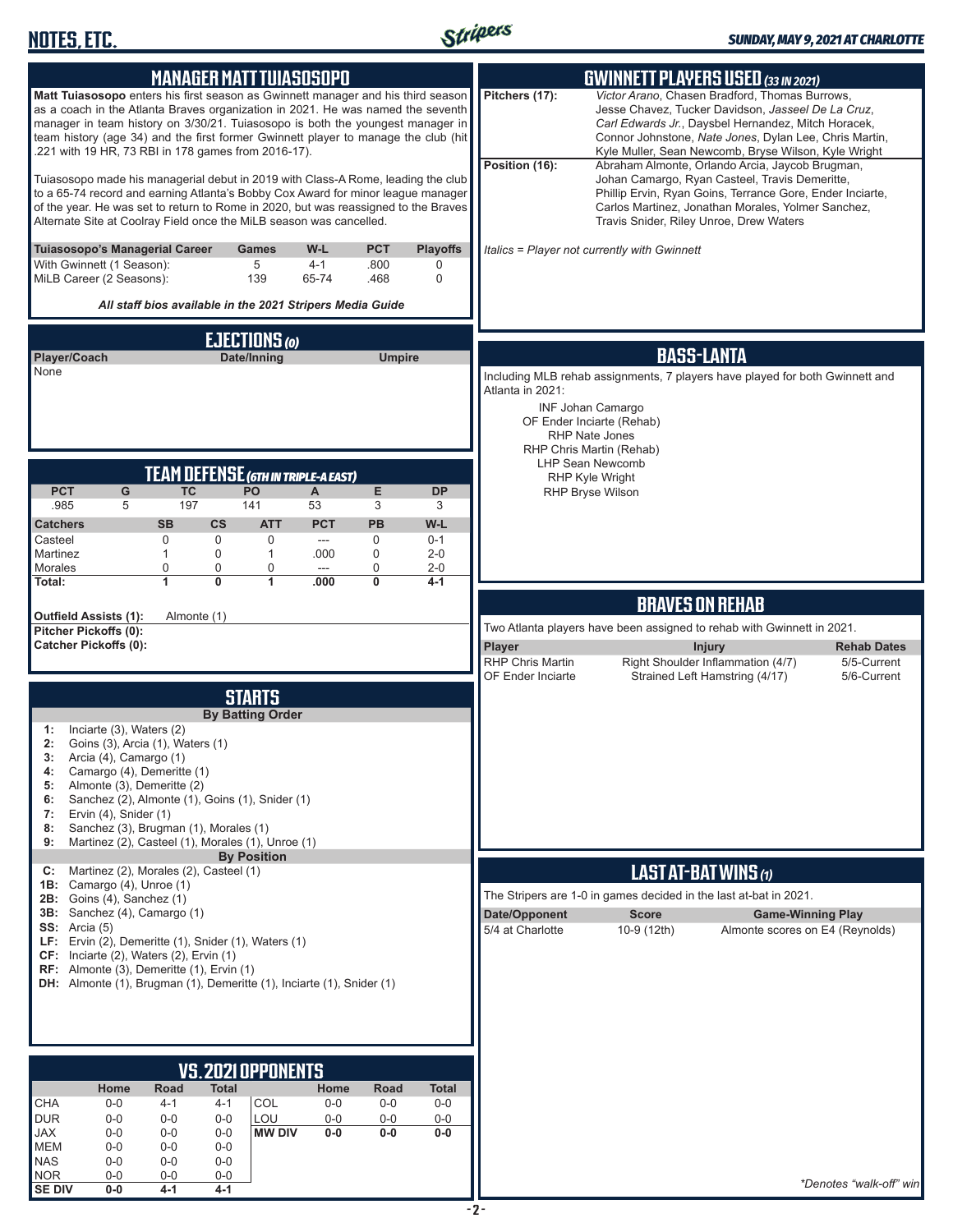

| <b>MANAGER MATT TUIASOSOPO</b>                                                                                                                                                                                                                                                                                                                                                                     | <b>GWINNETT PLAYERS USED (33 IN 2021)</b>                                                                                                                                                                                                                                                                                                                            |
|----------------------------------------------------------------------------------------------------------------------------------------------------------------------------------------------------------------------------------------------------------------------------------------------------------------------------------------------------------------------------------------------------|----------------------------------------------------------------------------------------------------------------------------------------------------------------------------------------------------------------------------------------------------------------------------------------------------------------------------------------------------------------------|
| Matt Tuiasosopo enters his first season as Gwinnett manager and his third season<br>as a coach in the Atlanta Braves organization in 2021. He was named the seventh<br>manager in team history on 3/30/21. Tuiasosopo is both the youngest manager in<br>team history (age 34) and the first former Gwinnett player to manage the club (hit<br>.221 with 19 HR, 73 RBI in 178 games from 2016-17). | Pitchers (17):<br>Victor Arano, Chasen Bradford, Thomas Burrows,<br>Jesse Chavez, Tucker Davidson, Jasseel De La Cruz,<br>Carl Edwards Jr., Daysbel Hernandez, Mitch Horacek,<br>Connor Johnstone, Nate Jones, Dylan Lee, Chris Martin,<br>Kyle Muller, Sean Newcomb, Bryse Wilson, Kyle Wright<br>Position (16):<br>Abraham Almonte, Orlando Arcia, Jaycob Brugman, |
| Tuiasosopo made his managerial debut in 2019 with Class-A Rome, leading the club<br>to a 65-74 record and earning Atlanta's Bobby Cox Award for minor league manager<br>of the year. He was set to return to Rome in 2020, but was reassigned to the Braves<br>Alternate Site at Coolray Field once the MiLB season was cancelled.                                                                 | Johan Camargo, Ryan Casteel, Travis Demeritte,<br>Phillip Ervin, Ryan Goins, Terrance Gore, Ender Inciarte,<br>Carlos Martinez, Jonathan Morales, Yolmer Sanchez,<br>Travis Snider, Riley Unroe, Drew Waters                                                                                                                                                         |
| Tuiasosopo's Managerial Career<br>W-L<br><b>PCT</b><br><b>Playoffs</b><br><b>Games</b><br>5<br>With Gwinnett (1 Season):<br>$4 - 1$<br>.800<br>0<br>MiLB Career (2 Seasons):<br>139<br>65-74<br>.468<br>0<br>All staff bios available in the 2021 Stripers Media Guide                                                                                                                             | Italics = Player not currently with Gwinnett                                                                                                                                                                                                                                                                                                                         |
| EJECTIONS (0)                                                                                                                                                                                                                                                                                                                                                                                      |                                                                                                                                                                                                                                                                                                                                                                      |
| Player/Coach<br>Date/Inning<br><b>Umpire</b>                                                                                                                                                                                                                                                                                                                                                       | <b>BASS-LANTA</b>                                                                                                                                                                                                                                                                                                                                                    |
| None                                                                                                                                                                                                                                                                                                                                                                                               | Including MLB rehab assignments, 7 players have played for both Gwinnett and<br>Atlanta in 2021:                                                                                                                                                                                                                                                                     |
|                                                                                                                                                                                                                                                                                                                                                                                                    | <b>INF Johan Camargo</b>                                                                                                                                                                                                                                                                                                                                             |
|                                                                                                                                                                                                                                                                                                                                                                                                    | OF Ender Inciarte (Rehab)<br><b>RHP Nate Jones</b>                                                                                                                                                                                                                                                                                                                   |
|                                                                                                                                                                                                                                                                                                                                                                                                    | RHP Chris Martin (Rehab)<br><b>LHP Sean Newcomb</b>                                                                                                                                                                                                                                                                                                                  |
| <b>TEAM DEFENSE (GTH IN TRIPLE-A EAST)</b><br><b>PCT</b><br><b>TC</b><br>G<br>PO<br>Е<br><b>DP</b><br>A                                                                                                                                                                                                                                                                                            | RHP Kyle Wright<br><b>RHP Bryse Wilson</b>                                                                                                                                                                                                                                                                                                                           |
| .985<br>197<br>141<br>53<br>3<br>5<br>3                                                                                                                                                                                                                                                                                                                                                            |                                                                                                                                                                                                                                                                                                                                                                      |
| <b>ATT</b><br><b>PCT</b><br><b>PB</b><br>W-L<br><b>Catchers</b><br><b>SB</b><br>$\mathsf{cs}$<br>$\mathbf 0$<br>$\mathbf 0$<br>$\mathbf 0$<br>0<br>Casteel<br>$0 - 1$<br>---                                                                                                                                                                                                                       |                                                                                                                                                                                                                                                                                                                                                                      |
| Martinez<br>0<br>0<br>$\mathbf{1}$<br>$\mathbf{1}$<br>.000<br>$2 - 0$                                                                                                                                                                                                                                                                                                                              |                                                                                                                                                                                                                                                                                                                                                                      |
| Morales<br>$\pmb{0}$<br>0<br>0<br>0<br>$2 - 0$<br>---<br>$\overline{1}$<br>$\overline{0}$<br>1<br>0<br>$4 - 1$<br>Total:<br>.000                                                                                                                                                                                                                                                                   |                                                                                                                                                                                                                                                                                                                                                                      |
|                                                                                                                                                                                                                                                                                                                                                                                                    | <b>BRAVES ON REHAB</b>                                                                                                                                                                                                                                                                                                                                               |
| Outfield Assists (1):<br>Almonte (1)<br>Pitcher Pickoffs (0):                                                                                                                                                                                                                                                                                                                                      | Two Atlanta players have been assigned to rehab with Gwinnett in 2021.                                                                                                                                                                                                                                                                                               |
| <b>Catcher Pickoffs (0):</b>                                                                                                                                                                                                                                                                                                                                                                       | Player<br><b>Injury</b><br><b>Rehab Dates</b><br><b>RHP Chris Martin</b><br>Right Shoulder Inflammation (4/7)<br>5/5-Current                                                                                                                                                                                                                                         |
|                                                                                                                                                                                                                                                                                                                                                                                                    | <b>OF Ender Inciarte</b><br>Strained Left Hamstring (4/17)<br>5/6-Current                                                                                                                                                                                                                                                                                            |
| <b>STARTS</b><br><b>By Batting Order</b>                                                                                                                                                                                                                                                                                                                                                           |                                                                                                                                                                                                                                                                                                                                                                      |
| Inciarte (3), Waters (2)<br>1:                                                                                                                                                                                                                                                                                                                                                                     |                                                                                                                                                                                                                                                                                                                                                                      |
| 2:<br>Goins (3), Arcia (1), Waters (1)<br>3:<br>Arcia (4), Camargo (1)                                                                                                                                                                                                                                                                                                                             |                                                                                                                                                                                                                                                                                                                                                                      |
| Camargo (4), Demeritte (1)<br>4:<br>Almonte (3), Demeritte (2)<br>5:                                                                                                                                                                                                                                                                                                                               |                                                                                                                                                                                                                                                                                                                                                                      |
| Sanchez (2), Almonte (1), Goins (1), Snider (1)<br>6:<br>Ervin (4), Snider (1)<br>7:                                                                                                                                                                                                                                                                                                               |                                                                                                                                                                                                                                                                                                                                                                      |
| Sanchez (3), Brugman (1), Morales (1)<br>8:                                                                                                                                                                                                                                                                                                                                                        |                                                                                                                                                                                                                                                                                                                                                                      |
| Martinez (2), Casteel (1), Morales (1), Unroe (1)<br>9:<br><b>By Position</b>                                                                                                                                                                                                                                                                                                                      |                                                                                                                                                                                                                                                                                                                                                                      |
| Martinez (2), Morales (2), Casteel (1)<br>C:<br>1B: Camargo (4), Unroe (1)                                                                                                                                                                                                                                                                                                                         | LAST AT-BAT WINS (1)                                                                                                                                                                                                                                                                                                                                                 |
| <b>2B:</b> Goins (4), Sanchez (1)<br>3B: Sanchez (4), Camargo (1)                                                                                                                                                                                                                                                                                                                                  | The Stripers are 1-0 in games decided in the last at-bat in 2021.<br>Date/Opponent<br><b>Score</b><br><b>Game-Winning Play</b>                                                                                                                                                                                                                                       |
| SS: Arcia $(5)$                                                                                                                                                                                                                                                                                                                                                                                    | 5/4 at Charlotte<br>10-9 (12th)<br>Almonte scores on E4 (Reynolds)                                                                                                                                                                                                                                                                                                   |
| LF: Ervin (2), Demeritte (1), Snider (1), Waters (1)<br>$CF:$ Inciarte (2), Waters (2), Ervin (1)                                                                                                                                                                                                                                                                                                  |                                                                                                                                                                                                                                                                                                                                                                      |
| RF: Almonte (3), Demeritte (1), Ervin (1)<br>DH: Almonte (1), Brugman (1), Demeritte (1), Inciarte (1), Snider (1)                                                                                                                                                                                                                                                                                 |                                                                                                                                                                                                                                                                                                                                                                      |
|                                                                                                                                                                                                                                                                                                                                                                                                    |                                                                                                                                                                                                                                                                                                                                                                      |
|                                                                                                                                                                                                                                                                                                                                                                                                    |                                                                                                                                                                                                                                                                                                                                                                      |
|                                                                                                                                                                                                                                                                                                                                                                                                    |                                                                                                                                                                                                                                                                                                                                                                      |
|                                                                                                                                                                                                                                                                                                                                                                                                    |                                                                                                                                                                                                                                                                                                                                                                      |
| <b>VS.2021 OPPONENTS</b>                                                                                                                                                                                                                                                                                                                                                                           |                                                                                                                                                                                                                                                                                                                                                                      |
| Road<br>Home<br>Total<br>Home<br>Road<br>Total<br><b>CHA</b><br>COL<br>$0-0$<br>4-1<br>$0-0$<br>$0-0$<br>$0-0$<br>4-1                                                                                                                                                                                                                                                                              |                                                                                                                                                                                                                                                                                                                                                                      |
| <b>DUR</b><br>LOU<br>$0-0$<br>$0-0$<br>$0-0$<br>$0-0$<br>$0-0$<br>$0-0$<br><b>JAX</b><br>$0 - 0$<br><b>MW DIV</b><br>$0-0$<br>$0-0$<br>$0-0$<br>$0 - 0$<br>$0-0$                                                                                                                                                                                                                                   |                                                                                                                                                                                                                                                                                                                                                                      |
| <b>MEM</b><br>$0-0$<br>$0-0$<br>$0-0$                                                                                                                                                                                                                                                                                                                                                              |                                                                                                                                                                                                                                                                                                                                                                      |
| <b>NAS</b><br>$0 - 0$<br>$0-0$<br>$0-0$<br><b>NOR</b><br>$0-0$<br>$0-0$<br>$0-0$<br><b>SE DIV</b><br>$0-0$<br>4-1<br>4-1                                                                                                                                                                                                                                                                           | *Denotes "walk-off" win                                                                                                                                                                                                                                                                                                                                              |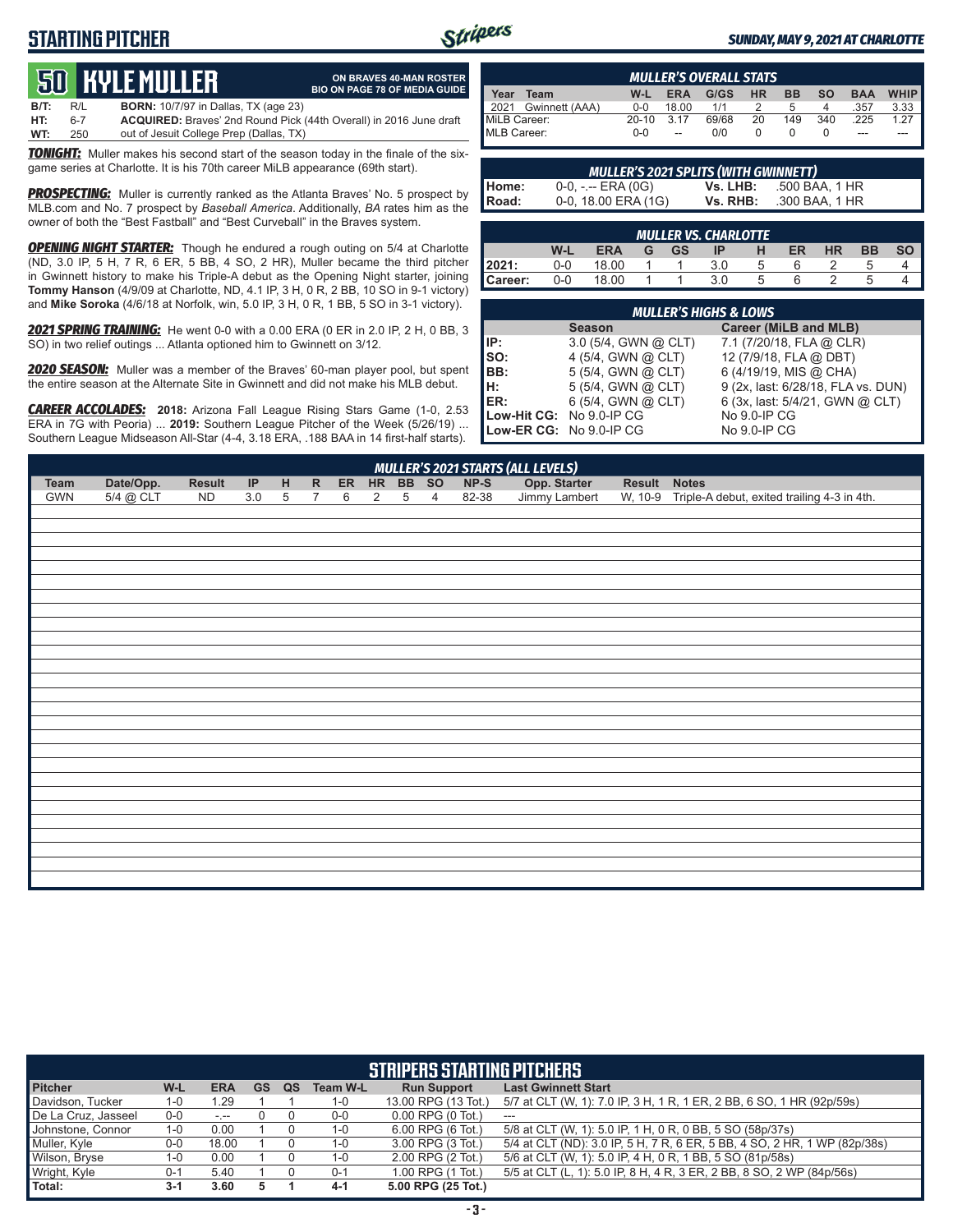## **STARTING PITCHER**



**ON BRAVES 40-MAN ROSTER BIO ON PAGE 78 OF MEDIA GUIDE**

#### *SUNDAY, MAY 9, 2021 AT CHARLOTTE*

# **50****KYLE MULLER**

**B/T:** R/L **BORN:** 10/7/97 in Dallas, TX (age 23) **HT:** 6-7 **ACQUIRED:** Braves' 2nd Round Pick (44th Overall) in 2016 June draft out of Jesuit College Prep (Dallas, TX)

**TONIGHT:** Muller makes his second start of the season today in the finale of the sixgame series at Charlotte. It is his 70th career MiLB appearance (69th start).

**PROSPECTING:** Muller is currently ranked as the Atlanta Braves' No. 5 prospect by MLB.com and No. 7 prospect by *Baseball America*. Additionally, *BA* rates him as the owner of both the "Best Fastball" and "Best Curveball" in the Braves system.

**OPENING NIGHT STARTER:** Though he endured a rough outing on 5/4 at Charlotte (ND, 3.0 IP, 5 H, 7 R, 6 ER, 5 BB, 4 SO, 2 HR), Muller became the third pitcher in Gwinnett history to make his Triple-A debut as the Opening Night starter, joining **Tommy Hanson** (4/9/09 at Charlotte, ND, 4.1 IP, 3 H, 0 R, 2 BB, 10 SO in 9-1 victory) and **Mike Soroka** (4/6/18 at Norfolk, win, 5.0 IP, 3 H, 0 R, 1 BB, 5 SO in 3-1 victory).

*2021 SPRING TRAINING:* He went 0-0 with a 0.00 ERA (0 ER in 2.0 IP, 2 H, 0 BB, 3 SO) in two relief outings ... Atlanta optioned him to Gwinnett on 3/12.

*2020 SEASON:* Muller was a member of the Braves' 60-man player pool, but spent the entire season at the Alternate Site in Gwinnett and did not make his MLB debut.

*CAREER ACCOLADES:* **2018:** Arizona Fall League Rising Stars Game (1-0, 2.53 ERA in 7G with Peoria) ... **2019:** Southern League Pitcher of the Week (5/26/19) ... Southern League Midseason All-Star (4-4, 3.18 ERA, .188 BAA in 14 first-half starts).

|                        |         |            | <b>MULLER'S OVERALL STATS</b> |    |              |           |            |                       |
|------------------------|---------|------------|-------------------------------|----|--------------|-----------|------------|-----------------------|
| Year<br>Team           | W-L     | <b>ERA</b> | G/GS                          | ΗR | <b>BB</b>    | <b>SO</b> | <b>BAA</b> | <b>WHIP</b>           |
| Gwinnett (AAA)<br>2021 | $0 - 0$ | 18.00      | 1/1                           |    | <sub>5</sub> |           | .357       | $3.33$ $\blacksquare$ |
| MiLB Career:           | $20-10$ | 3.17       | 69/68                         | 20 | 149          | 340       | .225       | 1.27 $\blacksquare$   |
| MLB Career:            | $0 - 0$ | --         | 0/0                           |    |              |           | ---        |                       |

|         | <b>MULLER'S 2021 SPLITS (WITH GWINNETT)</b> |          |                |
|---------|---------------------------------------------|----------|----------------|
| Home:   | $0-0, - -$ ERA (0G)                         | Vs. LHB: | .500 BAA, 1 HR |
| l Road: | $0-0$ , 18.00 ERA (1G)                      | Vs. RHB: | .300 BAA. 1 HR |

|         | <b>MULLER VS. CHARLOTTE</b> |       |  |    |     |                |    |           |    |  |  |  |  |
|---------|-----------------------------|-------|--|----|-----|----------------|----|-----------|----|--|--|--|--|
|         | W-L                         | ERA   |  | GS | IP  | н              | ER | <b>HR</b> | ВB |  |  |  |  |
|         | 0-0                         | 18.00 |  |    | 3.0 | <sub>5</sub>   |    |           |    |  |  |  |  |
| Career: | 0-0                         | 18.00 |  |    | 3.0 | $\overline{a}$ |    |           |    |  |  |  |  |

|                          | <b>MULLER'S HIGHS &amp; LOWS</b> |                                    |
|--------------------------|----------------------------------|------------------------------------|
|                          | <b>Season</b>                    | Career (MiLB and MLB)              |
| IIP:                     | $3.0$ (5/4, GWN @ CLT)           | 7.1 (7/20/18, FLA @ CLR)           |
| Iso:                     | 4 (5/4, GWN @ CLT)               | 12 (7/9/18, FLA @ DBT)             |
| IBB:                     | 5 (5/4, GWN @ CLT)               | 6 (4/19/19, MIS @ CHA)             |
| Iн:                      | 5 (5/4, GWN @ CLT)               | 9 (2x, last: 6/28/18, FLA vs. DUN) |
| ER:                      | 6 (5/4, GWN @ CLT)               | 6 (3x, last: 5/4/21, GWN @ CLT)    |
| Low-Hit CG: No 9.0-IP CG |                                  | No 9.0-IP CG                       |
|                          | Low-ER CG: No 9.0-IP CG          | No 9.0-IP CG                       |

|      |             |               |  |           |           |       |       | MULLER'S 2021 STARTS (ALL LEVELS) |               |                                             |
|------|-------------|---------------|--|-----------|-----------|-------|-------|-----------------------------------|---------------|---------------------------------------------|
| Team | Date/Opp.   | <b>Result</b> |  | <b>ER</b> | <b>HR</b> | BB SO | NP-S  | Opp. Starter                      | <b>Result</b> | <b>Notes</b>                                |
| GWN  | $5/4$ @ CLT | ND            |  |           |           |       | 82-38 | Jimmy Lambert                     | W. 10-9       | Triple-A debut, exited trailing 4-3 in 4th. |

|                     |         |            |           |    |                 | <b>STRIPERS STARTING PITCHERS'</b> |                                                                           |
|---------------------|---------|------------|-----------|----|-----------------|------------------------------------|---------------------------------------------------------------------------|
| <b>Pitcher</b>      | W-L     | <b>ERA</b> | <b>GS</b> | QS | <b>Team W-L</b> | <b>Run Support</b>                 | <b>Last Gwinnett Start</b>                                                |
| Davidson, Tucker    | 1-0     | 1.29       |           |    | 1-0             | 13.00 RPG (13 Tot.)                | 5/7 at CLT (W, 1): 7.0 IP, 3 H, 1 R, 1 ER, 2 BB, 6 SO, 1 HR (92p/59s)     |
| De La Cruz, Jasseel | $0-0$   | $-1 - 1$   |           |    | $0-0$           | $0.00$ RPG $(0$ Tot.)              | $---$                                                                     |
| Johnstone, Connor   | 1-0     | 0.00       |           |    | 1-0             | 6.00 RPG (6 Tot.)                  | 5/8 at CLT (W, 1): 5.0 IP, 1 H, 0 R, 0 BB, 5 SO (58p/37s)                 |
| Muller, Kyle        | $0-0$   | 18.00      |           |    | 1-0             | 3.00 RPG (3 Tot.)                  | 5/4 at CLT (ND): 3.0 IP, 5 H, 7 R, 6 ER, 5 BB, 4 SO, 2 HR, 1 WP (82p/38s) |
| Wilson, Bryse       | $1 - 0$ | 0.00       |           |    | 1-0             | 2.00 RPG (2 Tot.)                  | 5/6 at CLT (W, 1): 5.0 IP, 4 H, 0 R, 1 BB, 5 SO (81p/58s)                 |
| Wright, Kyle        | $0 - 1$ | 5.40       |           |    | $0 - 1$         | 1.00 RPG (1 Tot.)                  | 5/5 at CLT (L, 1): 5.0 IP, 8 H, 4 R, 3 ER, 2 BB, 8 SO, 2 WP (84p/56s)     |
| Total:              | $3-1$   | 3.60       |           |    | $4-1$           | 5.00 RPG (25 Tot.)                 |                                                                           |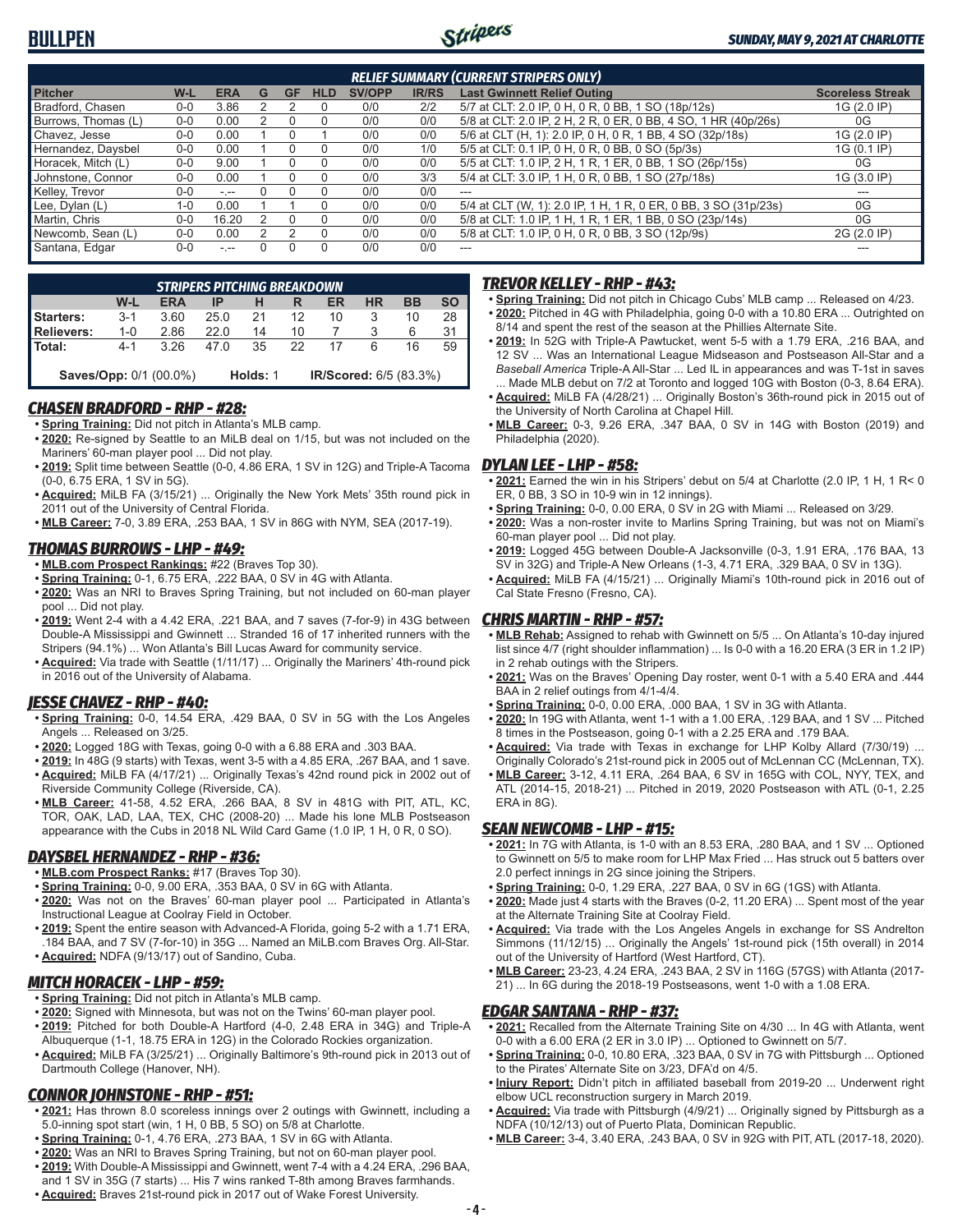

|                     |         |               |   |           |            |               |              | <b>RELIEF SUMMARY (CURRENT STRIPERS ONLY)</b>                   |                         |
|---------------------|---------|---------------|---|-----------|------------|---------------|--------------|-----------------------------------------------------------------|-------------------------|
| <b>Pitcher</b>      | W-L     | <b>ERA</b>    | G | <b>GF</b> | <b>HLD</b> | <b>SV/OPP</b> | <b>IR/RS</b> | <b>Last Gwinnett Relief Outing</b>                              | <b>Scoreless Streak</b> |
| Bradford, Chasen    | $0 - 0$ | 3.86          |   |           |            | 0/0           | 2/2          | 5/7 at CLT: 2.0 IP, 0 H, 0 R, 0 BB, 1 SO (18p/12s)              | 1G (2.0 IP)             |
| Burrows, Thomas (L) | $0-0$   | 0.00          |   |           |            | 0/0           | 0/0          | 5/8 at CLT: 2.0 IP, 2 H, 2 R, 0 ER, 0 BB, 4 SO, 1 HR (40p/26s)  | 0G                      |
| Chavez, Jesse       | $0 - 0$ | 0.00          |   |           |            | 0/0           | 0/0          | 5/6 at CLT (H, 1): 2.0 IP, 0 H, 0 R, 1 BB, 4 SO (32p/18s)       | 1G (2.0 IP)             |
| Hernandez, Daysbel  | $0 - 0$ | 0.00          |   |           |            | 0/0           | 1/0          | 5/5 at CLT: 0.1 IP, 0 H, 0 R, 0 BB, 0 SO (5p/3s)                | 1G (0.1 IP)             |
| Horacek, Mitch (L)  | $0-0$   | 9.00          |   |           |            | 0/0           | 0/0          | 5/5 at CLT: 1.0 IP, 2 H, 1 R, 1 ER, 0 BB, 1 SO (26p/15s)        | 0G                      |
| Johnstone, Connor   | $0 - 0$ | 0.00          |   |           |            | 0/0           | 3/3          | 5/4 at CLT: 3.0 IP, 1 H, 0 R, 0 BB, 1 SO (27p/18s)              | 1G (3.0 IP)             |
| Kelley, Trevor      | $0 - 0$ | $-1 - 1$      |   |           |            | 0/0           | 0/0          | $---$                                                           | ---                     |
| Lee, Dylan (L)      | 1-0     | 0.00          |   |           |            | 0/0           | 0/0          | 5/4 at CLT (W, 1): 2.0 IP, 1 H, 1 R, 0 ER, 0 BB, 3 SO (31p/23s) | 0G                      |
| Martin, Chris       | $0 - 0$ | 16.20         |   |           |            | 0/0           | 0/0          | 5/8 at CLT: 1.0 IP, 1 H, 1 R, 1 ER, 1 BB, 0 SO (23p/14s)        | 0G                      |
| Newcomb, Sean (L)   | $0 - 0$ | 0.00          |   |           |            | 0/0           | 0/0          | 5/8 at CLT: 1.0 IP, 0 H, 0 R, 0 BB, 3 SO (12p/9s)               | 2G (2.0 IP)             |
| Santana, Edgar      | $0-0$   | $\frac{1}{2}$ |   |           |            | 0/0           | 0/0          | $- - -$                                                         | ---                     |

|                   |         |                               |      | <b>STRIPERS PITCHING BREAKDOWN</b> |    |                        |           |           |           |
|-------------------|---------|-------------------------------|------|------------------------------------|----|------------------------|-----------|-----------|-----------|
|                   | W-L     | <b>ERA</b>                    | IP   |                                    | R  | ER                     | <b>HR</b> | <b>BB</b> | <b>SO</b> |
| <b>Starters:</b>  | $3 - 1$ | 3.60                          | 25.0 | 21                                 | 12 | 10                     | 3         | 10        | 28        |
| <b>Relievers:</b> | $1 - 0$ | 2.86                          | 22 O | 14                                 | 10 |                        |           | 6         |           |
| l Total:          | $4 - 1$ | 3.26                          | 47 O | 35                                 | 22 |                        | 6         | 16        | 59        |
|                   |         | <b>Saves/Opp: 0/1 (00.0%)</b> |      | Holds: 1                           |    | IR/Scored: 6/5 (83.3%) |           |           |           |

#### *CHASEN BRADFORD - RHP - #28:*

**• Spring Training:** Did not pitch in Atlanta's MLB camp.

- **• 2020:** Re-signed by Seattle to an MiLB deal on 1/15, but was not included on the Mariners' 60-man player pool ... Did not play.
- **• 2019:** Split time between Seattle (0-0, 4.86 ERA, 1 SV in 12G) and Triple-A Tacoma (0-0, 6.75 ERA, 1 SV in 5G).
- **• Acquired:** MiLB FA (3/15/21) ... Originally the New York Mets' 35th round pick in 2011 out of the University of Central Florida.
- **• MLB Career:** 7-0, 3.89 ERA, .253 BAA, 1 SV in 86G with NYM, SEA (2017-19).

#### *THOMAS BURROWS - LHP - #49:*

- **• MLB.com Prospect Rankings:** #22 (Braves Top 30).
- **• Spring Training:** 0-1, 6.75 ERA, .222 BAA, 0 SV in 4G with Atlanta.
- **• 2020:** Was an NRI to Braves Spring Training, but not included on 60-man player pool ... Did not play.
- **• 2019:** Went 2-4 with a 4.42 ERA, .221 BAA, and 7 saves (7-for-9) in 43G between Double-A Mississippi and Gwinnett ... Stranded 16 of 17 inherited runners with the Stripers (94.1%) ... Won Atlanta's Bill Lucas Award for community service.
- **• Acquired:** Via trade with Seattle (1/11/17) ... Originally the Mariners' 4th-round pick in 2016 out of the University of Alabama.

#### *JESSE CHAVEZ - RHP - #40:*

- **• Spring Training:** 0-0, 14.54 ERA, .429 BAA, 0 SV in 5G with the Los Angeles Angels ... Released on 3/25.
- **• 2020:** Logged 18G with Texas, going 0-0 with a 6.88 ERA and .303 BAA.
- **• 2019:** In 48G (9 starts) with Texas, went 3-5 with a 4.85 ERA, .267 BAA, and 1 save. **• Acquired:** MiLB FA (4/17/21) ... Originally Texas's 42nd round pick in 2002 out of Riverside Community College (Riverside, CA).
- **• MLB Career:** 41-58, 4.52 ERA, .266 BAA, 8 SV in 481G with PIT, ATL, KC, TOR, OAK, LAD, LAA, TEX, CHC (2008-20) ... Made his lone MLB Postseason appearance with the Cubs in 2018 NL Wild Card Game (1.0 IP, 1 H, 0 R, 0 SO).

#### *DAYSBEL HERNANDEZ - RHP - #36:*

- **• MLB.com Prospect Ranks:** #17 (Braves Top 30).
- **• Spring Training:** 0-0, 9.00 ERA, .353 BAA, 0 SV in 6G with Atlanta.
- **• 2020:** Was not on the Braves' 60-man player pool ... Participated in Atlanta's Instructional League at Coolray Field in October.
- **• 2019:** Spent the entire season with Advanced-A Florida, going 5-2 with a 1.71 ERA, .184 BAA, and 7 SV (7-for-10) in 35G ... Named an MiLB.com Braves Org. All-Star. **• Acquired:** NDFA (9/13/17) out of Sandino, Cuba.
- 

#### *MITCH HORACEK - LHP - #59:*

- **• Spring Training:** Did not pitch in Atlanta's MLB camp.
- **• 2020:** Signed with Minnesota, but was not on the Twins' 60-man player pool.
- **• 2019:** Pitched for both Double-A Hartford (4-0, 2.48 ERA in 34G) and Triple-A Albuquerque (1-1, 18.75 ERA in 12G) in the Colorado Rockies organization.
- **• Acquired:** MiLB FA (3/25/21) ... Originally Baltimore's 9th-round pick in 2013 out of Dartmouth College (Hanover, NH).

## *CONNOR JOHNSTONE - RHP - #51:*

- **• 2021:** Has thrown 8.0 scoreless innings over 2 outings with Gwinnett, including a 5.0-inning spot start (win, 1 H, 0 BB, 5 SO) on 5/8 at Charlotte.
- **• Spring Training:** 0-1, 4.76 ERA, .273 BAA, 1 SV in 6G with Atlanta.
- **• 2020:** Was an NRI to Braves Spring Training, but not on 60-man player pool.
- **• 2019:** With Double-A Mississippi and Gwinnett, went 7-4 with a 4.24 ERA, .296 BAA, and 1 SV in 35G (7 starts) ... His 7 wins ranked T-8th among Braves farmhands.
- **• Acquired:** Braves 21st-round pick in 2017 out of Wake Forest University.

#### *TREVOR KELLEY - RHP - #43:*

- **• Spring Training:** Did not pitch in Chicago Cubs' MLB camp ... Released on 4/23. **• 2020:** Pitched in 4G with Philadelphia, going 0-0 with a 10.80 ERA ... Outrighted on
- 8/14 and spent the rest of the season at the Phillies Alternate Site. **• 2019:** In 52G with Triple-A Pawtucket, went 5-5 with a 1.79 ERA, .216 BAA, and 12 SV ... Was an International League Midseason and Postseason All-Star and a *Baseball America* Triple-A All-Star ... Led IL in appearances and was T-1st in saves
- Made MLB debut on 7/2 at Toronto and logged 10G with Boston (0-3, 8.64 ERA). **• Acquired:** MiLB FA (4/28/21) ... Originally Boston's 36th-round pick in 2015 out of the University of North Carolina at Chapel Hill.
- **• MLB Career:** 0-3, 9.26 ERA, .347 BAA, 0 SV in 14G with Boston (2019) and Philadelphia (2020).

#### *DYLAN LEE - LHP - #58:*

- **• 2021:** Earned the win in his Stripers' debut on 5/4 at Charlotte (2.0 IP, 1 H, 1 R< 0 ER, 0 BB, 3 SO in 10-9 win in 12 innings).
- **• Spring Training:** 0-0, 0.00 ERA, 0 SV in 2G with Miami ... Released on 3/29.
- **• 2020:** Was a non-roster invite to Marlins Spring Training, but was not on Miami's 60-man player pool ... Did not play.
- **• 2019:** Logged 45G between Double-A Jacksonville (0-3, 1.91 ERA, .176 BAA, 13 SV in 32G) and Triple-A New Orleans (1-3, 4.71 ERA, .329 BAA, 0 SV in 13G).
- **• Acquired:** MiLB FA (4/15/21) ... Originally Miami's 10th-round pick in 2016 out of Cal State Fresno (Fresno, CA).

#### *CHRIS MARTIN - RHP - #57:*

- **• MLB Rehab:** Assigned to rehab with Gwinnett on 5/5 ... On Atlanta's 10-day injured list since 4/7 (right shoulder inflammation) ... Is 0-0 with a 16.20 ERA (3 ER in 1.2 IP) in 2 rehab outings with the Stripers.
- **• 2021:** Was on the Braves' Opening Day roster, went 0-1 with a 5.40 ERA and .444 BAA in 2 relief outings from 4/1-4/4.
- **• Spring Training:** 0-0, 0.00 ERA, .000 BAA, 1 SV in 3G with Atlanta.
- **• 2020:** In 19G with Atlanta, went 1-1 with a 1.00 ERA, .129 BAA, and 1 SV ... Pitched 8 times in the Postseason, going 0-1 with a 2.25 ERA and .179 BAA.
- **• Acquired:** Via trade with Texas in exchange for LHP Kolby Allard (7/30/19) ... Originally Colorado's 21st-round pick in 2005 out of McLennan CC (McLennan, TX).
- **• MLB Career:** 3-12, 4.11 ERA, .264 BAA, 6 SV in 165G with COL, NYY, TEX, and ATL (2014-15, 2018-21) ... Pitched in 2019, 2020 Postseason with ATL (0-1, 2.25 ERA in 8G).

#### *SEAN NEWCOMB - LHP - #15:*

- **• 2021:** In 7G with Atlanta, is 1-0 with an 8.53 ERA, .280 BAA, and 1 SV ... Optioned to Gwinnett on 5/5 to make room for LHP Max Fried ... Has struck out 5 batters over 2.0 perfect innings in 2G since joining the Stripers.
- **• Spring Training:** 0-0, 1.29 ERA, .227 BAA, 0 SV in 6G (1GS) with Atlanta.
- **• 2020:** Made just 4 starts with the Braves (0-2, 11.20 ERA) ... Spent most of the year at the Alternate Training Site at Coolray Field.
- **• Acquired:** Via trade with the Los Angeles Angels in exchange for SS Andrelton Simmons (11/12/15) ... Originally the Angels' 1st-round pick (15th overall) in 2014 out of the University of Hartford (West Hartford, CT).
- **• MLB Career:** 23-23, 4.24 ERA, .243 BAA, 2 SV in 116G (57GS) with Atlanta (2017- 21) ... In 6G during the 2018-19 Postseasons, went 1-0 with a 1.08 ERA.

#### *EDGAR SANTANA - RHP - #37:*

- **• 2021:** Recalled from the Alternate Training Site on 4/30 ... In 4G with Atlanta, went 0-0 with a 6.00 ERA (2 ER in 3.0 IP) ... Optioned to Gwinnett on 5/7.
- **• Spring Training:** 0-0, 10.80 ERA, .323 BAA, 0 SV in 7G with Pittsburgh ... Optioned to the Pirates' Alternate Site on 3/23, DFA'd on 4/5.
- **• Injury Report:** Didn't pitch in affiliated baseball from 2019-20 ... Underwent right elbow UCL reconstruction surgery in March 2019.
- **• Acquired:** Via trade with Pittsburgh (4/9/21) ... Originally signed by Pittsburgh as a NDFA (10/12/13) out of Puerto Plata, Dominican Republic.
- **• MLB Career:** 3-4, 3.40 ERA, .243 BAA, 0 SV in 92G with PIT, ATL (2017-18, 2020).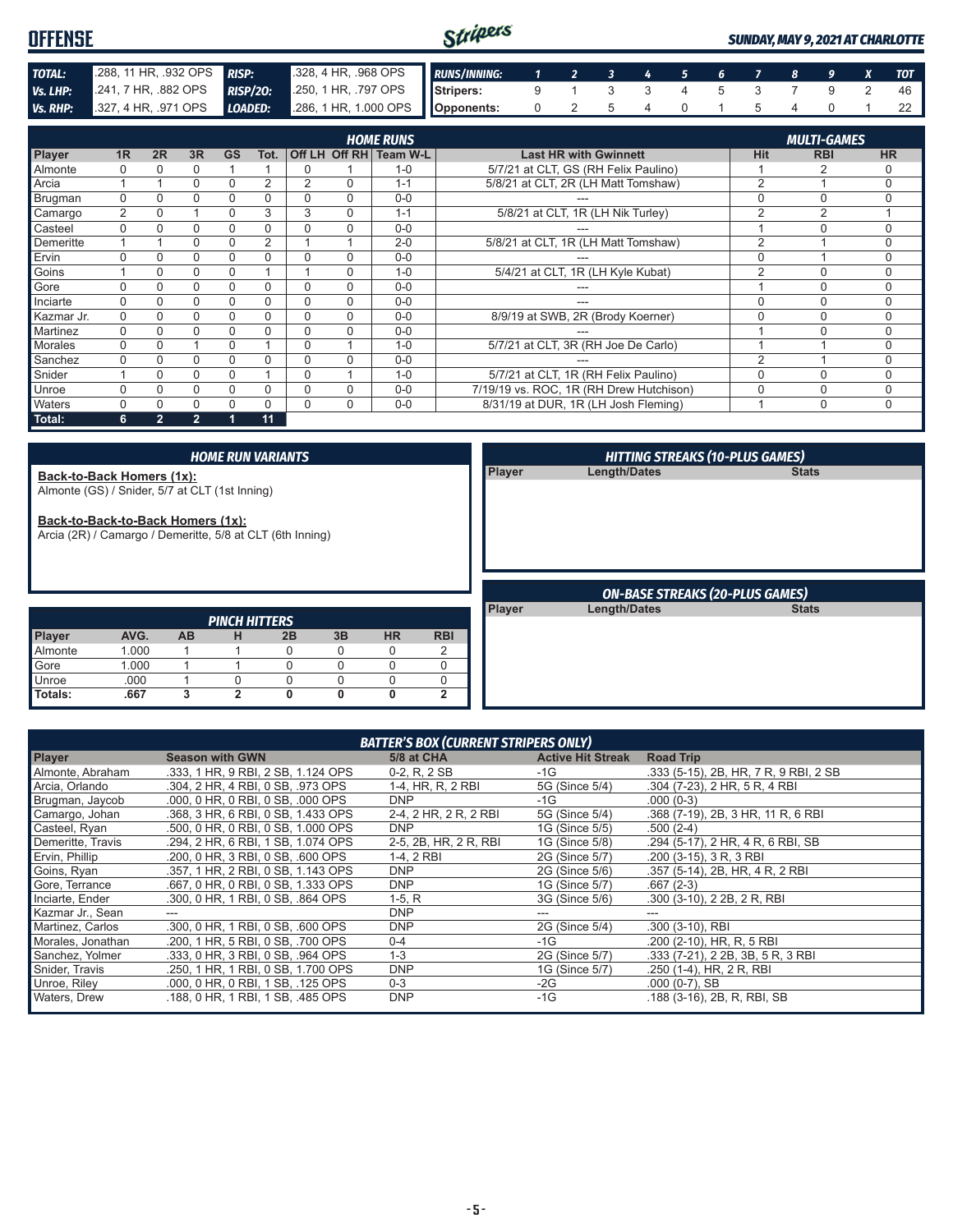| <b>OFFENSE</b> |                      |                 |                      | Stripers            |  |  |  |  |  | <b>SUNDAY, MAY 9, 2021 AT CHARLOTTE</b> |
|----------------|----------------------|-----------------|----------------------|---------------------|--|--|--|--|--|-----------------------------------------|
| <b>TOTAL:</b>  | 288, 11 HR, .932 OPS | <b>RISP:</b>    | 328, 4 HR, 968 OPS   | <b>RUNS/INNING:</b> |  |  |  |  |  |                                         |
| Vs. LHP:       | 241, 7 HR, 882 OPS   | <b>RISP/20:</b> | .250, 1 HR, .797 OPS | <b>I</b> Stripers:  |  |  |  |  |  |                                         |
| Vs. RHP:       | 327, 4 HR, 971 OPS   | LOADED:         |                      |                     |  |  |  |  |  |                                         |

|                |          |                |                |           |          |                |          | <b>HOME RUNS</b>       |                                         |                | <b>MULTI-GAMES</b> |             |
|----------------|----------|----------------|----------------|-----------|----------|----------------|----------|------------------------|-----------------------------------------|----------------|--------------------|-------------|
| Player         | 1R       | 2R             | 3R             | <b>GS</b> | Tot.     |                |          | Off LH Off RH Team W-L | <b>Last HR with Gwinnett</b>            | <b>Hit</b>     | <b>RBI</b>         | <b>HR</b>   |
| Almonte        |          |                |                |           |          | <sup>0</sup>   |          | $1 - 0$                | 5/7/21 at CLT, GS (RH Felix Paulino)    |                |                    |             |
| Arcia          |          |                | 0              | $\Omega$  | 2        | $\overline{2}$ | $\Omega$ | $1 - 1$                | 5/8/21 at CLT, 2R (LH Matt Tomshaw)     | 2              |                    | $\Omega$    |
| Brugman        | $\Omega$ |                |                |           | 0        | 0              | $\Omega$ | $0 - 0$                |                                         | 0              |                    | $\Omega$    |
| Camargo        | 2        | $\Omega$       |                |           | 3        | 3              | $\Omega$ | $1 - 1$                | 5/8/21 at CLT, 1R (LH Nik Turley)       | $\overline{2}$ | $\overline{2}$     |             |
| Casteel        | $\Omega$ |                | 0              | $\Omega$  | 0        | $\Omega$       | $\Omega$ | $0 - 0$                |                                         |                | $\Omega$           | $\Omega$    |
| Demeritte      |          |                |                |           | 2        |                |          | $2 - 0$                | 5/8/21 at CLT, 1R (LH Matt Tomshaw)     | 2              |                    | 0           |
| Ervin          | U        |                |                |           | 0        | $\Omega$       | $\Omega$ | $0 - 0$                |                                         | 0              |                    | 0           |
| Goins          |          | $\Omega$       | 0              |           |          |                | $\Omega$ | $1 - 0$                | 5/4/21 at CLT, 1R (LH Kyle Kubat)       | 2              | $\Omega$           | $\Omega$    |
| Gore           | $\Omega$ |                | 0              |           | 0        | $\Omega$       | $\Omega$ | $0 - 0$                |                                         |                | $\Omega$           | $\Omega$    |
| Inciarte       | 0        |                | 0              | 0         | 0        | $\Omega$       | $\Omega$ | $0 - 0$                |                                         | 0              | $\Omega$           | 0           |
| Kazmar Jr.     | 0        |                |                |           | 0        | 0              | $\Omega$ | $0 - 0$                | 8/9/19 at SWB, 2R (Brody Koerner)       | С              | $\Omega$           | 0           |
| Martinez       | $\Omega$ |                |                |           | 0        | 0              | 0        | $0 - 0$                |                                         |                | $\cap$             | U           |
| <b>Morales</b> | $\Omega$ |                |                | $\Omega$  |          | $\Omega$       |          | $1 - 0$                | 5/7/21 at CLT, 3R (RH Joe De Carlo)     |                |                    | $\Omega$    |
| Sanchez        | $\Omega$ |                | 0              |           | 0        | 0              | $\Omega$ | $0 - 0$                |                                         | 2              |                    | $\Omega$    |
| Snider         |          | $\Omega$       | 0              | 0         |          | $\Omega$       |          | $1 - 0$                | 5/7/21 at CLT, 1R (RH Felix Paulino)    | 0              | $\Omega$           | $\Omega$    |
| Unroe          | 0        |                | 0              |           | 0        | 0              | $\Omega$ | $0 - 0$                | 7/19/19 vs. ROC, 1R (RH Drew Hutchison) | 0              | 0                  | $\Omega$    |
| Waters         | U        |                |                |           | $\Omega$ | $\Omega$       | $\Omega$ | $0 - 0$                | 8/31/19 at DUR, 1R (LH Josh Fleming)    |                | $\mathbf 0$        | $\mathbf 0$ |
| Total:         | 6        | $\overline{2}$ | $\overline{2}$ |           | 11       |                |          |                        |                                         |                |                    |             |

|                                                                                                |       |           |                      | <b>HOME RUN VARIANTS</b> |          |           |             |        | <b>HITTING STREAKS (10-PLUS GAMES)</b> |              |
|------------------------------------------------------------------------------------------------|-------|-----------|----------------------|--------------------------|----------|-----------|-------------|--------|----------------------------------------|--------------|
| Back-to-Back Homers (1x):<br>Almonte (GS) / Snider, 5/7 at CLT (1st Inning)                    |       |           |                      |                          |          |           |             | Player | <b>Length/Dates</b>                    | <b>Stats</b> |
| Back-to-Back-to-Back Homers (1x):<br>Arcia (2R) / Camargo / Demeritte, 5/8 at CLT (6th Inning) |       |           |                      |                          |          |           |             |        |                                        |              |
|                                                                                                |       |           |                      |                          |          |           |             |        |                                        |              |
|                                                                                                |       |           |                      |                          |          |           |             |        | <b>ON-BASE STREAKS (20-PLUS GAMES)</b> |              |
|                                                                                                |       |           | <b>PINCH HITTERS</b> |                          |          |           |             | Player | <b>Length/Dates</b>                    | <b>Stats</b> |
| Player                                                                                         | AVG.  | <b>AB</b> | н                    | 2B                       | 3B       | <b>HR</b> | <b>RBI</b>  |        |                                        |              |
| Almonte                                                                                        | 1.000 |           |                      | 0                        | $\Omega$ | $\Omega$  | 2           |        |                                        |              |
| Gore                                                                                           | 1.000 |           |                      |                          | $\Omega$ | 0         | $\Omega$    |        |                                        |              |
| Unroe                                                                                          | .000  |           | U                    | $\Omega$                 | $\Omega$ | 0         | $\mathbf 0$ |        |                                        |              |

| <b>BATTER'S BOX (CURRENT STRIPERS ONLY)</b> |                                    |                       |                          |                                       |  |  |  |  |
|---------------------------------------------|------------------------------------|-----------------------|--------------------------|---------------------------------------|--|--|--|--|
| <b>Player</b>                               | <b>Season with GWN</b>             | 5/8 at CHA            | <b>Active Hit Streak</b> | <b>Road Trip</b>                      |  |  |  |  |
| Almonte, Abraham                            | .333, 1 HR, 9 RBI, 2 SB, 1.124 OPS | $0-2, R, 2SB$         | $-1G$                    | .333 (5-15), 2B, HR, 7 R, 9 RBI, 2 SB |  |  |  |  |
| Arcia, Orlando                              | .304, 2 HR, 4 RBI, 0 SB, .973 OPS  | 1-4, HR, R, 2 RBI     | 5G (Since 5/4)           | .304 (7-23), 2 HR, 5 R, 4 RBI         |  |  |  |  |
| Brugman, Jaycob                             | .000, 0 HR, 0 RBI, 0 SB, .000 OPS  | <b>DNP</b>            | -1G                      | $.000(0-3)$                           |  |  |  |  |
| Camargo, Johan                              | .368. 3 HR. 6 RBI. 0 SB. 1.433 OPS | 2-4, 2 HR, 2 R, 2 RBI | 5G (Since 5/4)           | .368 (7-19), 2B, 3 HR, 11 R, 6 RBI    |  |  |  |  |
| Casteel, Ryan                               | .500, 0 HR, 0 RBI, 0 SB, 1.000 OPS | <b>DNP</b>            | 1G (Since 5/5)           | $.500(2-4)$                           |  |  |  |  |
| Demeritte, Travis                           | .294, 2 HR, 6 RBI, 1 SB, 1.074 OPS | 2-5, 2B, HR, 2 R, RBI | 1G (Since 5/8)           | .294 (5-17), 2 HR, 4 R, 6 RBI, SB     |  |  |  |  |
| Ervin, Phillip                              | .200, 0 HR, 3 RBI, 0 SB, .600 OPS  | 1-4, 2 RBI            | 2G (Since 5/7)           | .200 (3-15), 3 R, 3 RBI               |  |  |  |  |
| Goins, Ryan                                 | .357, 1 HR, 2 RBI, 0 SB, 1.143 OPS | <b>DNP</b>            | 2G (Since 5/6)           | .357 (5-14), 2B, HR, 4 R, 2 RBI       |  |  |  |  |
| Gore, Terrance                              | .667, 0 HR, 0 RBI, 0 SB, 1.333 OPS | <b>DNP</b>            | 1G (Since 5/7)           | $.667(2-3)$                           |  |  |  |  |
| Inciarte, Ender                             | .300, 0 HR, 1 RBI, 0 SB, .864 OPS  | $1-5, R$              | 3G (Since 5/6)           | .300 (3-10), 2 2B, 2 R, RBI           |  |  |  |  |
| Kazmar Jr., Sean                            |                                    | <b>DNP</b>            |                          | ---                                   |  |  |  |  |
| Martinez, Carlos                            | .300, 0 HR, 1 RBI, 0 SB, .600 OPS  | <b>DNP</b>            | 2G (Since 5/4)           | .300 (3-10), RBI                      |  |  |  |  |
| Morales, Jonathan                           | .200, 1 HR, 5 RBI, 0 SB, .700 OPS  | $0 - 4$               | $-1G$                    | .200 (2-10), HR, R, 5 RBI             |  |  |  |  |
| Sanchez, Yolmer                             | .333, 0 HR, 3 RBI, 0 SB, .964 OPS  | $1 - 3$               | 2G (Since 5/7)           | .333 (7-21), 2 2B, 3B, 5 R, 3 RBI     |  |  |  |  |
| Snider, Travis                              | .250, 1 HR, 1 RBI, 0 SB, 1,700 OPS | <b>DNP</b>            | 1G (Since 5/7)           | .250 (1-4), HR, 2 R, RBI              |  |  |  |  |
| Unroe, Riley                                | .000, 0 HR, 0 RBI, 1 SB, .125 OPS  | $0 - 3$               | -2G                      | $.000(0-7)$ , SB                      |  |  |  |  |
| Waters, Drew                                | .188, 0 HR, 1 RBI, 1 SB, .485 OPS  | <b>DNP</b>            | $-1G$                    | .188 (3-16), 2B, R, RBI, SB           |  |  |  |  |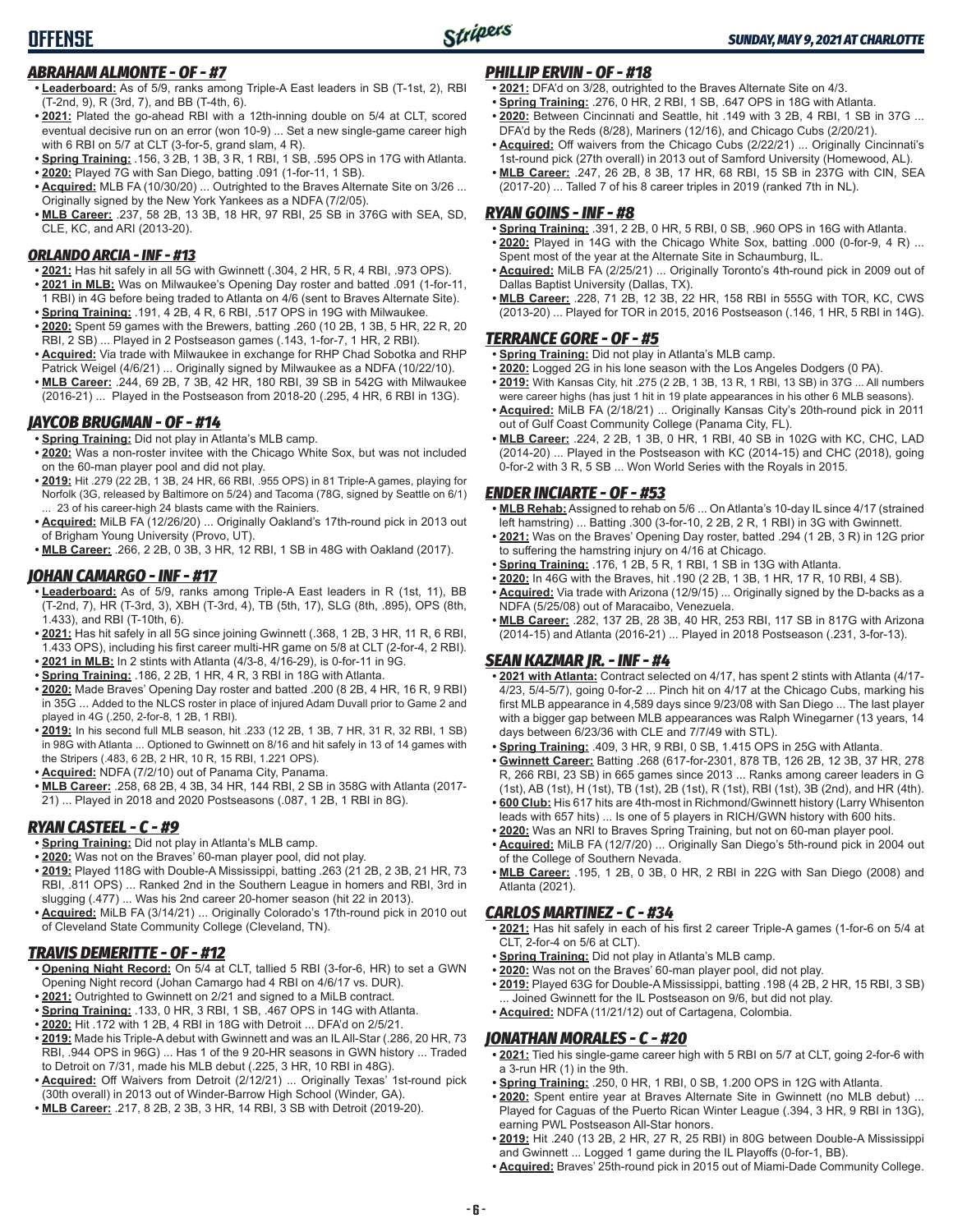### *ABRAHAM ALMONTE - OF - #7*

**OFFENSE**

- **• Leaderboard:** As of 5/9, ranks among Triple-A East leaders in SB (T-1st, 2), RBI (T-2nd, 9), R (3rd, 7), and BB (T-4th, 6).
- **• 2021:** Plated the go-ahead RBI with a 12th-inning double on 5/4 at CLT, scored eventual decisive run on an error (won 10-9) ... Set a new single-game career high with 6 RBI on 5/7 at CLT (3-for-5, grand slam, 4 R).
- **• Spring Training:** .156, 3 2B, 1 3B, 3 R, 1 RBI, 1 SB, .595 OPS in 17G with Atlanta.
- **• 2020:** Played 7G with San Diego, batting .091 (1-for-11, 1 SB).
- **• Acquired:** MLB FA (10/30/20) ... Outrighted to the Braves Alternate Site on 3/26 ... Originally signed by the New York Yankees as a NDFA (7/2/05).
- **• MLB Career:** .237, 58 2B, 13 3B, 18 HR, 97 RBI, 25 SB in 376G with SEA, SD, CLE, KC, and ARI (2013-20).

#### *ORLANDO ARCIA - INF - #13*

- **• 2021:** Has hit safely in all 5G with Gwinnett (.304, 2 HR, 5 R, 4 RBI, .973 OPS).
- **• 2021 in MLB:** Was on Milwaukee's Opening Day roster and batted .091 (1-for-11, 1 RBI) in 4G before being traded to Atlanta on 4/6 (sent to Braves Alternate Site).
- **• Spring Training:** .191, 4 2B, 4 R, 6 RBI, .517 OPS in 19G with Milwaukee.
- **• 2020:** Spent 59 games with the Brewers, batting .260 (10 2B, 1 3B, 5 HR, 22 R, 20 RBI, 2 SB) ... Played in 2 Postseason games (.143, 1-for-7, 1 HR, 2 RBI).
- **• Acquired:** Via trade with Milwaukee in exchange for RHP Chad Sobotka and RHP Patrick Weigel (4/6/21) ... Originally signed by Milwaukee as a NDFA (10/22/10).
- **• MLB Career:** .244, 69 2B, 7 3B, 42 HR, 180 RBI, 39 SB in 542G with Milwaukee (2016-21) ... Played in the Postseason from 2018-20 (.295, 4 HR, 6 RBI in 13G).

#### *JAYCOB BRUGMAN - OF - #14*

- **• Spring Training:** Did not play in Atlanta's MLB camp.
- **• 2020:** Was a non-roster invitee with the Chicago White Sox, but was not included on the 60-man player pool and did not play.
- **• 2019:** Hit .279 (22 2B, 1 3B, 24 HR, 66 RBI, .955 OPS) in 81 Triple-A games, playing for Norfolk (3G, released by Baltimore on 5/24) and Tacoma (78G, signed by Seattle on 6/1) 23 of his career-high 24 blasts came with the Rainiers.
- **• Acquired:** MiLB FA (12/26/20) ... Originally Oakland's 17th-round pick in 2013 out of Brigham Young University (Provo, UT).
- **• MLB Career:** .266, 2 2B, 0 3B, 3 HR, 12 RBI, 1 SB in 48G with Oakland (2017).

#### *JOHAN CAMARGO - INF - #17*

- **• Leaderboard:** As of 5/9, ranks among Triple-A East leaders in R (1st, 11), BB (T-2nd, 7), HR (T-3rd, 3), XBH (T-3rd, 4), TB (5th, 17), SLG (8th, .895), OPS (8th, 1.433), and RBI (T-10th, 6).
- **• 2021:** Has hit safely in all 5G since joining Gwinnett (.368, 1 2B, 3 HR, 11 R, 6 RBI, 1.433 OPS), including his first career multi-HR game on 5/8 at CLT (2-for-4, 2 RBI).
- **• 2021 in MLB:** In 2 stints with Atlanta (4/3-8, 4/16-29), is 0-for-11 in 9G.
- **• Spring Training:** .186, 2 2B, 1 HR, 4 R, 3 RBI in 18G with Atlanta.
- **• 2020:** Made Braves' Opening Day roster and batted .200 (8 2B, 4 HR, 16 R, 9 RBI) in 35G ... Added to the NLCS roster in place of injured Adam Duvall prior to Game 2 and played in 4G (.250, 2-for-8, 1 2B, 1 RBI).
- **• 2019:** In his second full MLB season, hit .233 (12 2B, 1 3B, 7 HR, 31 R, 32 RBI, 1 SB) in 98G with Atlanta ... Optioned to Gwinnett on 8/16 and hit safely in 13 of 14 games with the Stripers (.483, 6 2B, 2 HR, 10 R, 15 RBI, 1.221 OPS).
- **• Acquired:** NDFA (7/2/10) out of Panama City, Panama.
- **• MLB Career:** .258, 68 2B, 4 3B, 34 HR, 144 RBI, 2 SB in 358G with Atlanta (2017- 21) ... Played in 2018 and 2020 Postseasons (.087, 1 2B, 1 RBI in 8G).

#### *RYAN CASTEEL - C - #9*

- **• Spring Training:** Did not play in Atlanta's MLB camp.
- **• 2020:** Was not on the Braves' 60-man player pool, did not play.
- **• 2019:** Played 118G with Double-A Mississippi, batting .263 (21 2B, 2 3B, 21 HR, 73 RBI, .811 OPS) ... Ranked 2nd in the Southern League in homers and RBI, 3rd in slugging (.477) ... Was his 2nd career 20-homer season (hit 22 in 2013).
- **• Acquired:** MiLB FA (3/14/21) ... Originally Colorado's 17th-round pick in 2010 out of Cleveland State Community College (Cleveland, TN).

#### *TRAVIS DEMERITTE - OF - #12*

- **• Opening Night Record:** On 5/4 at CLT, tallied 5 RBI (3-for-6, HR) to set a GWN Opening Night record (Johan Camargo had 4 RBI on 4/6/17 vs. DUR).
- **• 2021:** Outrighted to Gwinnett on 2/21 and signed to a MiLB contract.
- **• Spring Training:** .133, 0 HR, 3 RBI, 1 SB, .467 OPS in 14G with Atlanta.
- **• 2020:** Hit .172 with 1 2B, 4 RBI in 18G with Detroit ... DFA'd on 2/5/21.
- **• 2019:** Made his Triple-A debut with Gwinnett and was an IL All-Star (.286, 20 HR, 73 RBI, .944 OPS in 96G) ... Has 1 of the 9 20-HR seasons in GWN history ... Traded to Detroit on 7/31, made his MLB debut (.225, 3 HR, 10 RBI in 48G).
- **• Acquired:** Off Waivers from Detroit (2/12/21) ... Originally Texas' 1st-round pick (30th overall) in 2013 out of Winder-Barrow High School (Winder, GA).
- **• MLB Career:** .217, 8 2B, 2 3B, 3 HR, 14 RBI, 3 SB with Detroit (2019-20).

#### *PHILLIP ERVIN - OF - #18*

- **• 2021:** DFA'd on 3/28, outrighted to the Braves Alternate Site on 4/3.
- **• Spring Training:** .276, 0 HR, 2 RBI, 1 SB, .647 OPS in 18G with Atlanta.
- **• 2020:** Between Cincinnati and Seattle, hit .149 with 3 2B, 4 RBI, 1 SB in 37G ... DFA'd by the Reds (8/28), Mariners (12/16), and Chicago Cubs (2/20/21).
- **• Acquired:** Off waivers from the Chicago Cubs (2/22/21) ... Originally Cincinnati's 1st-round pick (27th overall) in 2013 out of Samford University (Homewood, AL). **• MLB Career:** .247, 26 2B, 8 3B, 17 HR, 68 RBI, 15 SB in 237G with CIN, SEA
- (2017-20) ... Talled 7 of his 8 career triples in 2019 (ranked 7th in NL).

#### *RYAN GOINS - INF - #8*

- **• Spring Training:** .391, 2 2B, 0 HR, 5 RBI, 0 SB, .960 OPS in 16G with Atlanta. **• 2020:** Played in 14G with the Chicago White Sox, batting .000 (0-for-9, 4 R) ...
- Spent most of the year at the Alternate Site in Schaumburg, IL. **• Acquired:** MiLB FA (2/25/21) ... Originally Toronto's 4th-round pick in 2009 out of
- Dallas Baptist University (Dallas, TX). **• MLB Career:** .228, 71 2B, 12 3B, 22 HR, 158 RBI in 555G with TOR, KC, CWS
- (2013-20) ... Played for TOR in 2015, 2016 Postseason (.146, 1 HR, 5 RBI in 14G).

#### *TERRANCE GORE - OF - #5*

- **• Spring Training:** Did not play in Atlanta's MLB camp.
- **• 2020:** Logged 2G in his lone season with the Los Angeles Dodgers (0 PA).
- **• 2019:** With Kansas City, hit .275 (2 2B, 1 3B, 13 R, 1 RBI, 13 SB) in 37G ... All numbers were career highs (has just 1 hit in 19 plate appearances in his other 6 MLB seasons).
- **• Acquired:** MiLB FA (2/18/21) ... Originally Kansas City's 20th-round pick in 2011 out of Gulf Coast Community College (Panama City, FL).
- **• MLB Career:** .224, 2 2B, 1 3B, 0 HR, 1 RBI, 40 SB in 102G with KC, CHC, LAD (2014-20) ... Played in the Postseason with KC (2014-15) and CHC (2018), going 0-for-2 with 3 R, 5 SB ... Won World Series with the Royals in 2015.

#### *ENDER INCIARTE - OF - #53*

- **• MLB Rehab:** Assigned to rehab on 5/6 ... On Atlanta's 10-day IL since 4/17 (strained left hamstring) ... Batting .300 (3-for-10, 2 2B, 2 R, 1 RBI) in 3G with Gwinnett.
- **• 2021:** Was on the Braves' Opening Day roster, batted .294 (1 2B, 3 R) in 12G prior to suffering the hamstring injury on 4/16 at Chicago.
- **• Spring Training:** .176, 1 2B, 5 R, 1 RBI, 1 SB in 13G with Atlanta.
- **• 2020:** In 46G with the Braves, hit .190 (2 2B, 1 3B, 1 HR, 17 R, 10 RBI, 4 SB).
- **• Acquired:** Via trade with Arizona (12/9/15) ... Originally signed by the D-backs as a NDFA (5/25/08) out of Maracaibo, Venezuela.
- **• MLB Career:** .282, 137 2B, 28 3B, 40 HR, 253 RBI, 117 SB in 817G with Arizona (2014-15) and Atlanta (2016-21) ... Played in 2018 Postseason (.231, 3-for-13).

#### *SEAN KAZMAR JR. - INF - #4*

- **• 2021 with Atlanta:** Contract selected on 4/17, has spent 2 stints with Atlanta (4/17- 4/23, 5/4-5/7), going 0-for-2 ... Pinch hit on 4/17 at the Chicago Cubs, marking his first MLB appearance in 4,589 days since 9/23/08 with San Diego ... The last player with a bigger gap between MLB appearances was Ralph Winegarner (13 years, 14 days between 6/23/36 with CLE and 7/7/49 with STL).
- **• Spring Training:** .409, 3 HR, 9 RBI, 0 SB, 1.415 OPS in 25G with Atlanta.
- **• Gwinnett Career:** Batting .268 (617-for-2301, 878 TB, 126 2B, 12 3B, 37 HR, 278 R, 266 RBI, 23 SB) in 665 games since 2013 ... Ranks among career leaders in G (1st), AB (1st), H (1st), TB (1st), 2B (1st), R (1st), RBI (1st), 3B (2nd), and HR (4th).
- **• 600 Club:** His 617 hits are 4th-most in Richmond/Gwinnett history (Larry Whisenton leads with 657 hits) ... Is one of 5 players in RICH/GWN history with 600 hits.
- **• 2020:** Was an NRI to Braves Spring Training, but not on 60-man player pool.
- **• Acquired:** MiLB FA (12/7/20) ... Originally San Diego's 5th-round pick in 2004 out of the College of Southern Nevada.
- **• MLB Career:** .195, 1 2B, 0 3B, 0 HR, 2 RBI in 22G with San Diego (2008) and Atlanta (2021).

#### *CARLOS MARTINEZ - C - #34*

- **• 2021:** Has hit safely in each of his first 2 career Triple-A games (1-for-6 on 5/4 at CLT, 2-for-4 on 5/6 at CLT).
- **• Spring Training:** Did not play in Atlanta's MLB camp.
- **• 2020:** Was not on the Braves' 60-man player pool, did not play.
- **• 2019:** Played 63G for Double-A Mississippi, batting .198 (4 2B, 2 HR, 15 RBI, 3 SB) ... Joined Gwinnett for the IL Postseason on 9/6, but did not play.
- **• Acquired:** NDFA (11/21/12) out of Cartagena, Colombia.

#### *JONATHAN MORALES - C - #20*

- **• 2021:** Tied his single-game career high with 5 RBI on 5/7 at CLT, going 2-for-6 with a 3-run HR (1) in the 9th.
- **• Spring Training:** .250, 0 HR, 1 RBI, 0 SB, 1.200 OPS in 12G with Atlanta.
- **• 2020:** Spent entire year at Braves Alternate Site in Gwinnett (no MLB debut) ... Played for Caguas of the Puerto Rican Winter League (.394, 3 HR, 9 RBI in 13G), earning PWL Postseason All-Star honors.
- **• 2019:** Hit .240 (13 2B, 2 HR, 27 R, 25 RBI) in 80G between Double-A Mississippi and Gwinnett ... Logged 1 game during the IL Playoffs (0-for-1, BB).
- **• Acquired:** Braves' 25th-round pick in 2015 out of Miami-Dade Community College.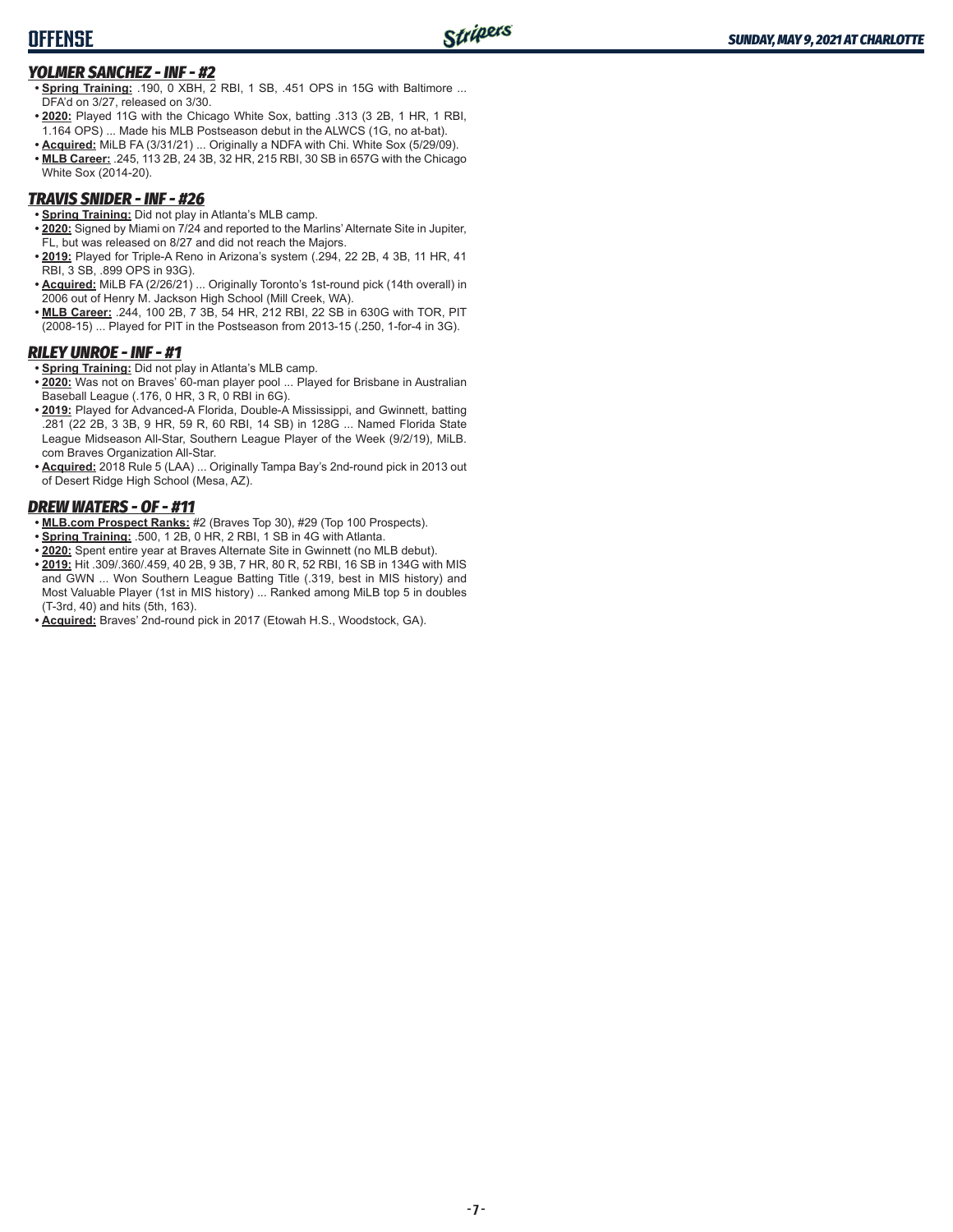### **OFFENSE**

#### *YOLMER SANCHEZ - INF - #2*

- **• Spring Training:** .190, 0 XBH, 2 RBI, 1 SB, .451 OPS in 15G with Baltimore ... DFA'd on 3/27, released on 3/30.
- **• 2020:** Played 11G with the Chicago White Sox, batting .313 (3 2B, 1 HR, 1 RBI, 1.164 OPS) ... Made his MLB Postseason debut in the ALWCS (1G, no at-bat).
- **• Acquired:** MiLB FA (3/31/21) ... Originally a NDFA with Chi. White Sox (5/29/09).
- **• MLB Career:** .245, 113 2B, 24 3B, 32 HR, 215 RBI, 30 SB in 657G with the Chicago White Sox (2014-20).

#### *TRAVIS SNIDER - INF - #26*

- **• Spring Training:** Did not play in Atlanta's MLB camp.
- **• 2020:** Signed by Miami on 7/24 and reported to the Marlins' Alternate Site in Jupiter, FL, but was released on 8/27 and did not reach the Majors.
- **• 2019:** Played for Triple-A Reno in Arizona's system (.294, 22 2B, 4 3B, 11 HR, 41 RBI, 3 SB, .899 OPS in 93G).
- **• Acquired:** MiLB FA (2/26/21) ... Originally Toronto's 1st-round pick (14th overall) in 2006 out of Henry M. Jackson High School (Mill Creek, WA).
- **• MLB Career:** .244, 100 2B, 7 3B, 54 HR, 212 RBI, 22 SB in 630G with TOR, PIT (2008-15) ... Played for PIT in the Postseason from 2013-15 (.250, 1-for-4 in 3G).

#### *RILEY UNROE - INF - #1*

- **• Spring Training:** Did not play in Atlanta's MLB camp.
- **• 2020:** Was not on Braves' 60-man player pool ... Played for Brisbane in Australian Baseball League (.176, 0 HR, 3 R, 0 RBI in 6G).
- **• 2019:** Played for Advanced-A Florida, Double-A Mississippi, and Gwinnett, batting .281 (22 2B, 3 3B, 9 HR, 59 R, 60 RBI, 14 SB) in 128G ... Named Florida State League Midseason All-Star, Southern League Player of the Week (9/2/19), MiLB. com Braves Organization All-Star.
- **• Acquired:** 2018 Rule 5 (LAA) ... Originally Tampa Bay's 2nd-round pick in 2013 out of Desert Ridge High School (Mesa, AZ).

#### *DREW WATERS - OF - #11*

- **• MLB.com Prospect Ranks:** #2 (Braves Top 30), #29 (Top 100 Prospects).
- **• Spring Training:** .500, 1 2B, 0 HR, 2 RBI, 1 SB in 4G with Atlanta.
- **• 2020:** Spent entire year at Braves Alternate Site in Gwinnett (no MLB debut).
- **• 2019:** Hit .309/.360/.459, 40 2B, 9 3B, 7 HR, 80 R, 52 RBI, 16 SB in 134G with MIS and GWN ... Won Southern League Batting Title (.319, best in MIS history) and Most Valuable Player (1st in MIS history) ... Ranked among MiLB top 5 in doubles (T-3rd, 40) and hits (5th, 163).
- **• Acquired:** Braves' 2nd-round pick in 2017 (Etowah H.S., Woodstock, GA).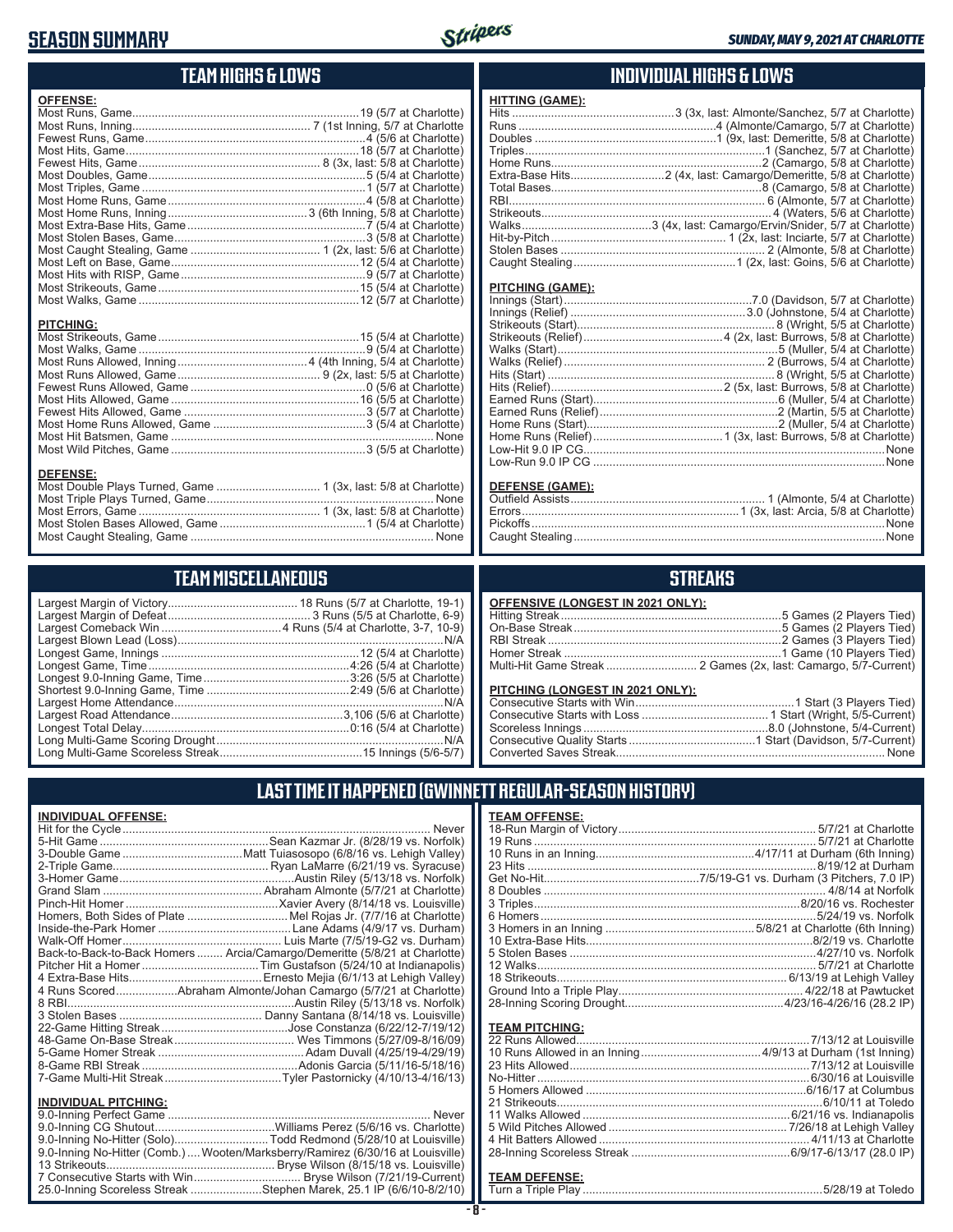### **SEASON SUMMARY**



### **TEAM HIGHS & LOWS**

| <b>OFFENSE:</b>                                                |  |
|----------------------------------------------------------------|--|
|                                                                |  |
|                                                                |  |
|                                                                |  |
|                                                                |  |
|                                                                |  |
|                                                                |  |
|                                                                |  |
|                                                                |  |
|                                                                |  |
|                                                                |  |
|                                                                |  |
|                                                                |  |
|                                                                |  |
|                                                                |  |
|                                                                |  |
|                                                                |  |
|                                                                |  |
| <b>PITCHING:</b>                                               |  |
| <b>DEFENSE:</b>                                                |  |
| Most Double Plays Turned, Game  1 (3x, last: 5/8 at Charlotte) |  |

### **TEAM MISCELLANEOUS**

Most Stolen Bases Allowed, Game .............................................1 (5/4 at Charlotte) Most Caught Stealing, Game ........................................................................... None

### **INDIVIDUAL HIGHS & LOWS**

### **HITTING (GAME):**

| Extra-Base Hits2 (4x, last: Camargo/Demeritte, 5/8 at Charlotte) |
|------------------------------------------------------------------|
|                                                                  |
|                                                                  |
|                                                                  |
|                                                                  |
|                                                                  |
|                                                                  |
|                                                                  |
|                                                                  |

#### **PITCHING (GAME):**

| <b>DEFENSE (GAME):</b>  |                               |
|-------------------------|-------------------------------|
| <b>Outfield Assists</b> | 1 (Almonte, 5/4 at Charlotte) |

### **STREAKS**

| <b>OFFENSIVE (LONGEST IN 2021 ONLY):</b> |                                                                 |
|------------------------------------------|-----------------------------------------------------------------|
|                                          |                                                                 |
|                                          |                                                                 |
|                                          |                                                                 |
|                                          |                                                                 |
|                                          | Multi-Hit Game Streak  2 Games (2x, last: Camargo, 5/7-Current) |

#### **PITCHING (LONGEST IN 2021 ONLY):**

| <u>I II OHINO (LONOLO I IN 2021 ONE I J.</u> |  |
|----------------------------------------------|--|
|                                              |  |
|                                              |  |
|                                              |  |
|                                              |  |
|                                              |  |
|                                              |  |

### **LAST TIME IT HAPPENED (GWINNETT REGULAR-SEASON HISTORY)**

| <b>INDIVIDUAL OFFENSE:</b>                                                      |
|---------------------------------------------------------------------------------|
| Never                                                                           |
|                                                                                 |
|                                                                                 |
|                                                                                 |
|                                                                                 |
|                                                                                 |
|                                                                                 |
| Homers, Both Sides of Plate Mel Rojas Jr. (7/7/16 at Charlotte)                 |
|                                                                                 |
|                                                                                 |
| Back-to-Back-to-Back Homers  Arcia/Camargo/Demeritte (5/8/21 at Charlotte)      |
|                                                                                 |
|                                                                                 |
| 4 Runs ScoredAbraham Almonte/Johan Camargo (5/7/21 at Charlotte)                |
|                                                                                 |
|                                                                                 |
|                                                                                 |
|                                                                                 |
|                                                                                 |
|                                                                                 |
|                                                                                 |
|                                                                                 |
| <b>INDIVIDUAL PITCHING:</b>                                                     |
|                                                                                 |
|                                                                                 |
| 9.0-Inning No-Hitter (Solo)Todd Redmond (5/28/10 at Louisville)                 |
| 9.0-Inning No-Hitter (Comb.)  Wooten/Marksberry/Ramirez (6/30/16 at Louisville) |

13 Strikeouts.................................................... Bryse Wilson (8/15/18 vs. Louisville) 7 Consecutive Starts with Win ................................. Bryse Wilson (7/21/19-Current) 25.0-Inning Scoreless Streak ......................Stephen Marek, 25.1 IP (6/6/10-8/2/10)

| <b>TEAM OFFENSE:</b> |  |
|----------------------|--|
|                      |  |
|                      |  |
|                      |  |
|                      |  |
|                      |  |
|                      |  |
|                      |  |
|                      |  |
|                      |  |
|                      |  |
|                      |  |
|                      |  |
|                      |  |
|                      |  |
|                      |  |
|                      |  |
|                      |  |
|                      |  |
|                      |  |
|                      |  |

#### **TEAM PITCHING:**

#### **TEAM DEFENSE:**